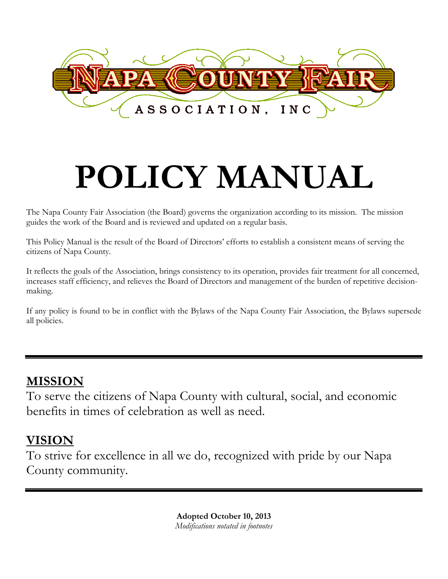

# **POLICY MANUAL**

The Napa County Fair Association (the Board) governs the organization according to its mission. The mission guides the work of the Board and is reviewed and updated on a regular basis.

This Policy Manual is the result of the Board of Directors' efforts to establish a consistent means of serving the citizens of Napa County.

It reflects the goals of the Association, brings consistency to its operation, provides fair treatment for all concerned, increases staff efficiency, and relieves the Board of Directors and management of the burden of repetitive decisionmaking.

If any policy is found to be in conflict with the Bylaws of the Napa County Fair Association, the Bylaws supersede all policies.

# **MISSION**

To serve the citizens of Napa County with cultural, social, and economic benefits in times of celebration as well as need.

# **VISION**

To strive for excellence in all we do, recognized with pride by our Napa County community.

> **Adopted October 10, 2013** *Modifications notated in footnotes*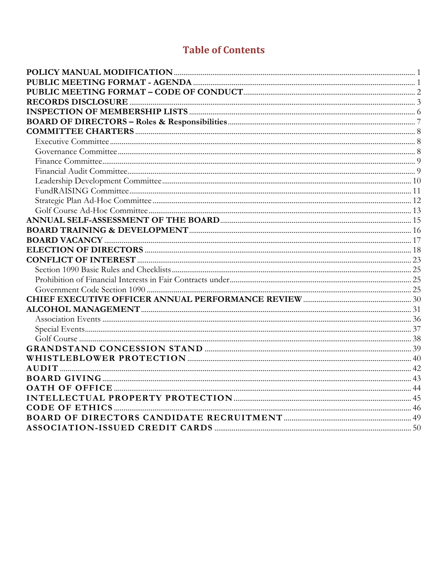# **Table of Contents**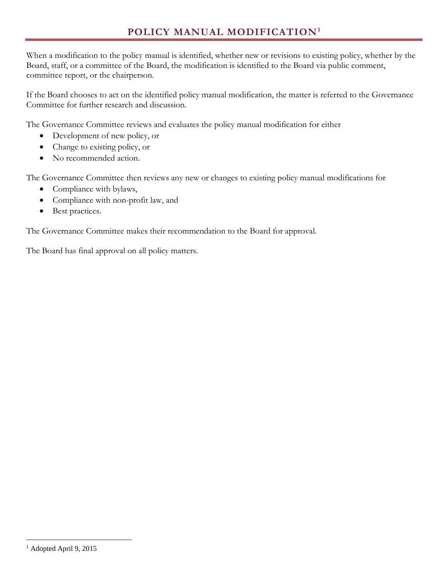<span id="page-2-0"></span>When a modification to the policy manual is identified, whether new or revisions to existing policy, whether by the Board, staff, or a committee of the Board, the modification is identified to the Board via public comment, committee report, or the chairperson.

If the Board chooses to act on the identified policy manual modification, the matter is referred to the Governance Committee for further research and discussion.

The Governance Committee reviews and evaluates the policy manual modification for either

- Development of new policy, or
- Change to existing policy, or
- No recommended action.

The Governance Committee then reviews any new or changes to existing policy manual modifications for

- Compliance with bylaws,
- Compliance with non-profit law, and
- Best practices.

The Governance Committee makes their recommendation to the Board for approval.

The Board has final approval on all policy matters.

<span id="page-2-1"></span> $\overline{a}$ <sup>1</sup> Adopted April 9, 2015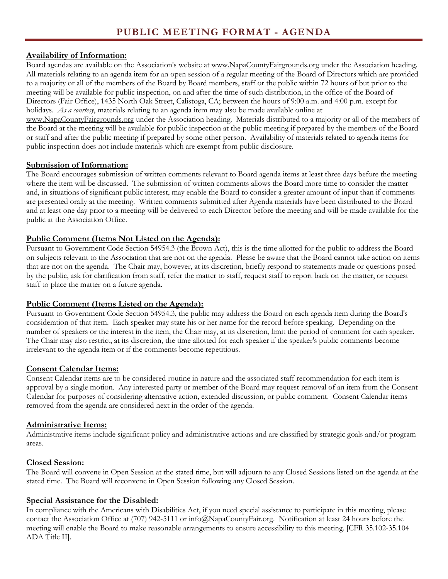#### <span id="page-3-0"></span>**Availability of Information:**

Board agendas are available on the Association's website at www.NapaCountyFairgrounds.org under the Association heading. All materials relating to an agenda item for an open session of a regular meeting of the Board of Directors which are provided to a majority or all of the members of the Board by Board members, staff or the public within 72 hours of but prior to the meeting will be available for public inspection, on and after the time of such distribution, in the office of the Board of Directors (Fair Office), 1435 North Oak Street, Calistoga, CA; between the hours of 9:00 a.m. and 4:00 p.m. except for holidays. *As a courtesy*, materials relating to an agenda item may also be made available online at

www.NapaCountyFairgrounds.org under the Association heading. Materials distributed to a majority or all of the members of the Board at the meeting will be available for public inspection at the public meeting if prepared by the members of the Board or staff and after the public meeting if prepared by some other person. Availability of materials related to agenda items for public inspection does not include materials which are exempt from public disclosure.

#### **Submission of Information:**

The Board encourages submission of written comments relevant to Board agenda items at least three days before the meeting where the item will be discussed. The submission of written comments allows the Board more time to consider the matter and, in situations of significant public interest, may enable the Board to consider a greater amount of input than if comments are presented orally at the meeting. Written comments submitted after Agenda materials have been distributed to the Board and at least one day prior to a meeting will be delivered to each Director before the meeting and will be made available for the public at the Association Office.

#### **Public Comment (Items Not Listed on the Agenda):**

Pursuant to Government Code Section 54954.3 (the Brown Act), this is the time allotted for the public to address the Board on subjects relevant to the Association that are not on the agenda. Please be aware that the Board cannot take action on items that are not on the agenda. The Chair may, however, at its discretion, briefly respond to statements made or questions posed by the public, ask for clarification from staff, refer the matter to staff, request staff to report back on the matter, or request staff to place the matter on a future agenda.

## **Public Comment (Items Listed on the Agenda):**

Pursuant to Government Code Section 54954.3, the public may address the Board on each agenda item during the Board's consideration of that item. Each speaker may state his or her name for the record before speaking. Depending on the number of speakers or the interest in the item, the Chair may, at its discretion, limit the period of comment for each speaker. The Chair may also restrict, at its discretion, the time allotted for each speaker if the speaker's public comments become irrelevant to the agenda item or if the comments become repetitious.

#### **Consent Calendar Items:**

Consent Calendar items are to be considered routine in nature and the associated staff recommendation for each item is approval by a single motion. Any interested party or member of the Board may request removal of an item from the Consent Calendar for purposes of considering alternative action, extended discussion, or public comment. Consent Calendar items removed from the agenda are considered next in the order of the agenda.

#### **Administrative Items:**

Administrative items include significant policy and administrative actions and are classified by strategic goals and/or program areas.

#### **Closed Session:**

The Board will convene in Open Session at the stated time, but will adjourn to any Closed Sessions listed on the agenda at the stated time. The Board will reconvene in Open Session following any Closed Session.

#### **Special Assistance for the Disabled:**

In compliance with the Americans with Disabilities Act, if you need special assistance to participate in this meeting, please contact the Association Office at (707) 942-5111 or info@NapaCountyFair.org. Notification at least 24 hours before the meeting will enable the Board to make reasonable arrangements to ensure accessibility to this meeting. [CFR 35.102-35.104 ADA Title II].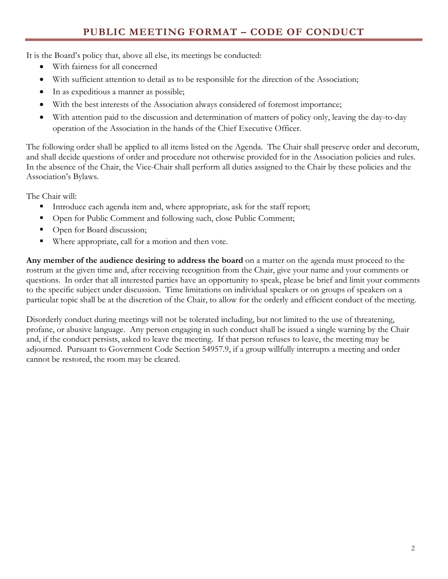<span id="page-4-0"></span>It is the Board's policy that, above all else, its meetings be conducted:

- With fairness for all concerned
- With sufficient attention to detail as to be responsible for the direction of the Association;
- In as expeditious a manner as possible;
- With the best interests of the Association always considered of foremost importance;
- With attention paid to the discussion and determination of matters of policy only, leaving the day-to-day operation of the Association in the hands of the Chief Executive Officer.

The following order shall be applied to all items listed on the Agenda. The Chair shall preserve order and decorum, and shall decide questions of order and procedure not otherwise provided for in the Association policies and rules. In the absence of the Chair, the Vice-Chair shall perform all duties assigned to the Chair by these policies and the Association's Bylaws.

The Chair will:

- Introduce each agenda item and, where appropriate, ask for the staff report;
- Open for Public Comment and following such, close Public Comment;
- Open for Board discussion;
- Where appropriate, call for a motion and then vote.

**Any member of the audience desiring to address the board** on a matter on the agenda must proceed to the rostrum at the given time and, after receiving recognition from the Chair, give your name and your comments or questions. In order that all interested parties have an opportunity to speak, please be brief and limit your comments to the specific subject under discussion. Time limitations on individual speakers or on groups of speakers on a particular topic shall be at the discretion of the Chair, to allow for the orderly and efficient conduct of the meeting.

Disorderly conduct during meetings will not be tolerated including, but not limited to the use of threatening, profane, or abusive language. Any person engaging in such conduct shall be issued a single warning by the Chair and, if the conduct persists, asked to leave the meeting. If that person refuses to leave, the meeting may be adjourned. Pursuant to Government Code Section 54957.9, if a group willfully interrupts a meeting and order cannot be restored, the room may be cleared.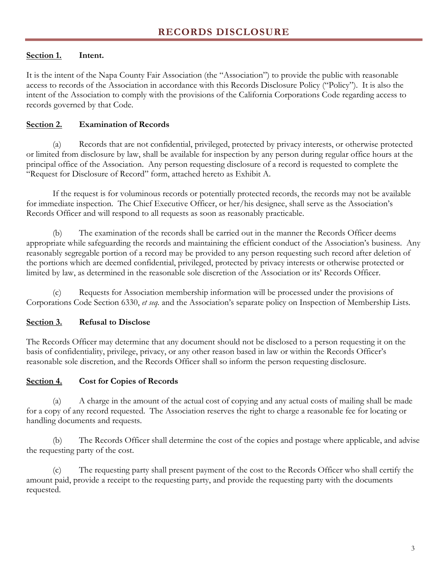# <span id="page-5-0"></span>**Section 1. Intent.**

It is the intent of the Napa County Fair Association (the "Association") to provide the public with reasonable access to records of the Association in accordance with this Records Disclosure Policy ("Policy"). It is also the intent of the Association to comply with the provisions of the California Corporations Code regarding access to records governed by that Code.

# **Section 2. Examination of Records**

(a) Records that are not confidential, privileged, protected by privacy interests, or otherwise protected or limited from disclosure by law, shall be available for inspection by any person during regular office hours at the principal office of the Association. Any person requesting disclosure of a record is requested to complete the "Request for Disclosure of Record" form, attached hereto as Exhibit A.

If the request is for voluminous records or potentially protected records, the records may not be available for immediate inspection. The Chief Executive Officer, or her/his designee, shall serve as the Association's Records Officer and will respond to all requests as soon as reasonably practicable.

(b) The examination of the records shall be carried out in the manner the Records Officer deems appropriate while safeguarding the records and maintaining the efficient conduct of the Association's business. Any reasonably segregable portion of a record may be provided to any person requesting such record after deletion of the portions which are deemed confidential, privileged, protected by privacy interests or otherwise protected or limited by law, as determined in the reasonable sole discretion of the Association or its' Records Officer.

(c) Requests for Association membership information will be processed under the provisions of Corporations Code Section 6330, *et seq.* and the Association's separate policy on Inspection of Membership Lists.

# **Section 3. Refusal to Disclose**

The Records Officer may determine that any document should not be disclosed to a person requesting it on the basis of confidentiality, privilege, privacy, or any other reason based in law or within the Records Officer's reasonable sole discretion, and the Records Officer shall so inform the person requesting disclosure.

## **Section 4. Cost for Copies of Records**

(a) A charge in the amount of the actual cost of copying and any actual costs of mailing shall be made for a copy of any record requested. The Association reserves the right to charge a reasonable fee for locating or handling documents and requests.

(b) The Records Officer shall determine the cost of the copies and postage where applicable, and advise the requesting party of the cost.

(c) The requesting party shall present payment of the cost to the Records Officer who shall certify the amount paid, provide a receipt to the requesting party, and provide the requesting party with the documents requested.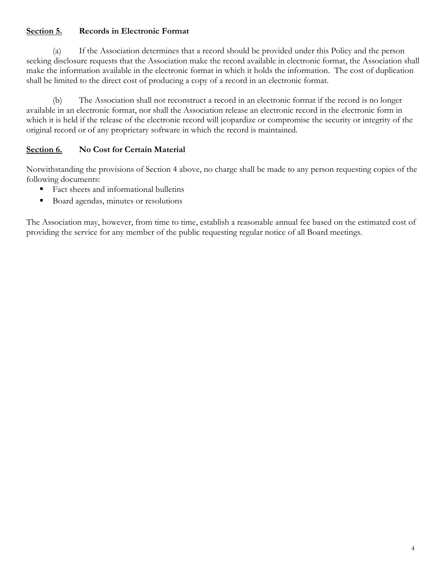## **Section 5. Records in Electronic Format**

(a) If the Association determines that a record should be provided under this Policy and the person seeking disclosure requests that the Association make the record available in electronic format, the Association shall make the information available in the electronic format in which it holds the information. The cost of duplication shall be limited to the direct cost of producing a copy of a record in an electronic format.

(b) The Association shall not reconstruct a record in an electronic format if the record is no longer available in an electronic format, nor shall the Association release an electronic record in the electronic form in which it is held if the release of the electronic record will jeopardize or compromise the security or integrity of the original record or of any proprietary software in which the record is maintained.

# **Section 6. No Cost for Certain Material**

Notwithstanding the provisions of Section 4 above, no charge shall be made to any person requesting copies of the following documents:

- Fact sheets and informational bulletins
- Board agendas, minutes or resolutions

The Association may, however, from time to time, establish a reasonable annual fee based on the estimated cost of providing the service for any member of the public requesting regular notice of all Board meetings.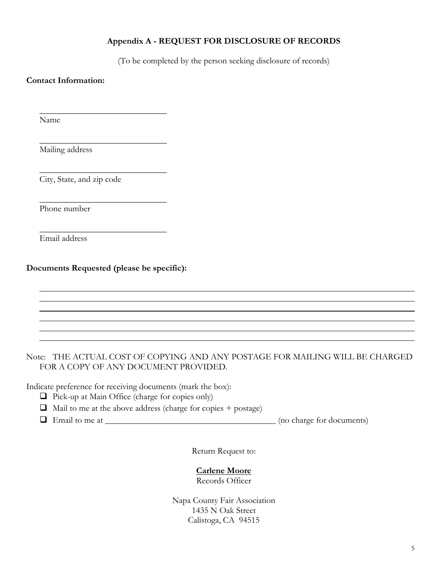#### **Appendix A - REQUEST FOR DISCLOSURE OF RECORDS**

(To be completed by the person seeking disclosure of records)

#### **Contact Information:**

Name

Mailing address

City, State, and zip code

Phone number

Email address

**Documents Requested (please be specific):**

\_\_\_\_\_\_\_\_\_\_\_\_\_\_\_\_\_\_\_\_\_\_\_\_\_\_\_\_\_

\_\_\_\_\_\_\_\_\_\_\_\_\_\_\_\_\_\_\_\_\_\_\_\_\_\_\_\_\_

\_\_\_\_\_\_\_\_\_\_\_\_\_\_\_\_\_\_\_\_\_\_\_\_\_\_\_\_\_

\_\_\_\_\_\_\_\_\_\_\_\_\_\_\_\_\_\_\_\_\_\_\_\_\_\_\_\_\_

\_\_\_\_\_\_\_\_\_\_\_\_\_\_\_\_\_\_\_\_\_\_\_\_\_\_\_\_\_

#### Note: THE ACTUAL COST OF COPYING AND ANY POSTAGE FOR MAILING WILL BE CHARGED FOR A COPY OF ANY DOCUMENT PROVIDED.

Indicate preference for receiving documents (mark the box):

 $\Box$  Pick-up at Main Office (charge for copies only)

 $\Box$  Mail to me at the above address (charge for copies + postage)

 $\Box$  Email to me at  $\Box$ 

Return Request to:

#### **Carlene Moore**

Records Officer

Napa County Fair Association 1435 N Oak Street Calistoga, CA 94515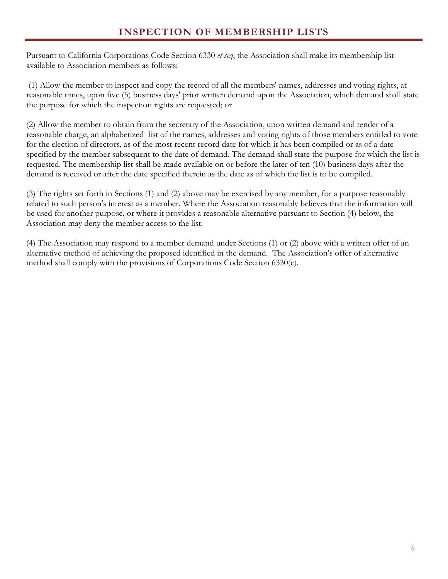<span id="page-8-0"></span>Pursuant to California Corporations Code Section 6330 *et seq*, the Association shall make its membership list available to Association members as follows:

(1) Allow the member to inspect and copy the record of all the members' names, addresses and voting rights, at reasonable times, upon five (5) business days' prior written demand upon the Association, which demand shall state the purpose for which the inspection rights are requested; or

(2) Allow the member to obtain from the secretary of the Association, upon written demand and tender of a reasonable charge, an alphabetized list of the names, addresses and voting rights of those members entitled to vote for the election of directors, as of the most recent record date for which it has been compiled or as of a date specified by the member subsequent to the date of demand. The demand shall state the purpose for which the list is requested. The membership list shall be made available on or before the later of ten (10) business days after the demand is received or after the date specified therein as the date as of which the list is to be compiled.

(3) The rights set forth in Sections (1) and (2) above may be exercised by any member, for a purpose reasonably related to such person's interest as a member. Where the Association reasonably believes that the information will be used for another purpose, or where it provides a reasonable alternative pursuant to Section (4) below, the Association may deny the member access to the list.

(4) The Association may respond to a member demand under Sections (1) or (2) above with a written offer of an alternative method of achieving the proposed identified in the demand. The Association's offer of alternative method shall comply with the provisions of Corporations Code Section 6330(c).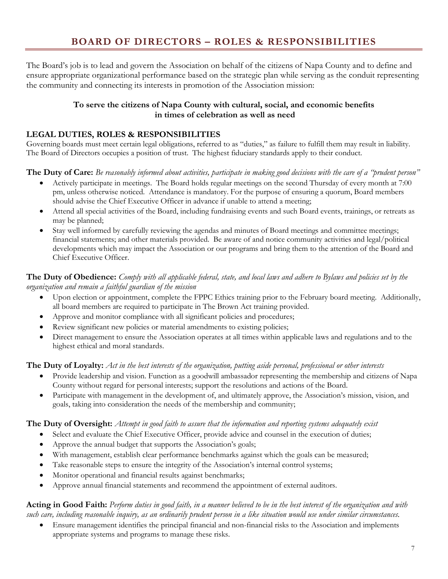<span id="page-9-0"></span>The Board's job is to lead and govern the Association on behalf of the citizens of Napa County and to define and ensure appropriate organizational performance based on the strategic plan while serving as the conduit representing the community and connecting its interests in promotion of the Association mission:

## **To serve the citizens of Napa County with cultural, social, and economic benefits in times of celebration as well as need**

# **LEGAL DUTIES, ROLES & RESPONSIBILITIES**

Governing boards must meet certain legal obligations, referred to as "duties," as failure to fulfill them may result in liability. The Board of Directors occupies a position of trust. The highest fiduciary standards apply to their conduct.

**The Duty of Care:** *Be reasonably informed about activities, participate in making good decisions with the care of a "prudent person"*

- Actively participate in meetings. The Board holds regular meetings on the second Thursday of every month at 7:00 pm, unless otherwise noticed. Attendance is mandatory. For the purpose of ensuring a quorum, Board members should advise the Chief Executive Officer in advance if unable to attend a meeting;
- Attend all special activities of the Board, including fundraising events and such Board events, trainings, or retreats as may be planned;
- Stay well informed by carefully reviewing the agendas and minutes of Board meetings and committee meetings; financial statements; and other materials provided. Be aware of and notice community activities and legal/political developments which may impact the Association or our programs and bring them to the attention of the Board and Chief Executive Officer.

## **The Duty of Obedience:** *Comply with all applicable federal, state, and local laws and adhere to Bylaws and policies set by the organization and remain a faithful guardian of the mission*

- Upon election or appointment, complete the FPPC Ethics training prior to the February board meeting. Additionally, all board members are required to participate in The Brown Act training provided.
- Approve and monitor compliance with all significant policies and procedures;
- Review significant new policies or material amendments to existing policies;
- Direct management to ensure the Association operates at all times within applicable laws and regulations and to the highest ethical and moral standards.

## **The Duty of Loyalty:** *Act in the best interests of the organization, putting aside personal, professional or other interests*

- Provide leadership and vision. Function as a goodwill ambassador representing the membership and citizens of Napa County without regard for personal interests; support the resolutions and actions of the Board.
- Participate with management in the development of, and ultimately approve, the Association's mission, vision, and goals, taking into consideration the needs of the membership and community;

## **The Duty of Oversight:** *Attempt in good faith to assure that the information and reporting systems adequately exist*

- Select and evaluate the Chief Executive Officer, provide advice and counsel in the execution of duties;
- Approve the annual budget that supports the Association's goals;
- With management, establish clear performance benchmarks against which the goals can be measured;
- Take reasonable steps to ensure the integrity of the Association's internal control systems;
- Monitor operational and financial results against benchmarks;
- Approve annual financial statements and recommend the appointment of external auditors.

#### **Acting in Good Faith:** *Perform duties in good faith, in a manner believed to be in the best interest of the organization and with such care, including reasonable inquiry, as an ordinarily prudent person in a like situation would use under similar circumstances.*

• Ensure management identifies the principal financial and non-financial risks to the Association and implements appropriate systems and programs to manage these risks.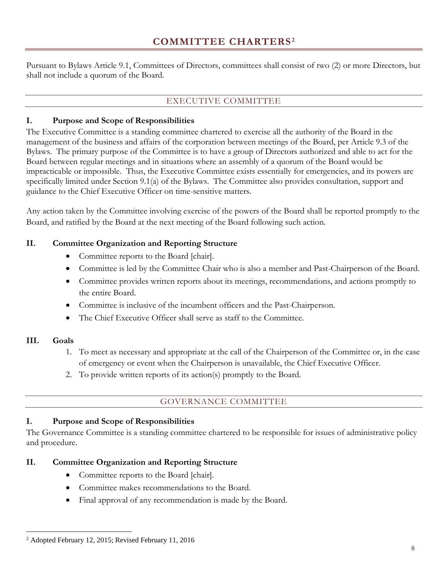<span id="page-10-1"></span><span id="page-10-0"></span>Pursuant to Bylaws Article 9.1, Committees of Directors, committees shall consist of two (2) or more Directors, but shall not include a quorum of the Board.

# EXECUTIVE COMMITTEE

# **I. Purpose and Scope of Responsibilities**

The Executive Committee is a standing committee chartered to exercise all the authority of the Board in the management of the business and affairs of the corporation between meetings of the Board, per Article 9.3 of the Bylaws. The primary purpose of the Committee is to have a group of Directors authorized and able to act for the Board between regular meetings and in situations where an assembly of a quorum of the Board would be impracticable or impossible. Thus, the Executive Committee exists essentially for emergencies, and its powers are specifically limited under Section 9.1(a) of the Bylaws. The Committee also provides consultation, support and guidance to the Chief Executive Officer on time-sensitive matters.

Any action taken by the Committee involving exercise of the powers of the Board shall be reported promptly to the Board, and ratified by the Board at the next meeting of the Board following such action.

# **II. Committee Organization and Reporting Structure**

- Committee reports to the Board [chair].
- Committee is led by the Committee Chair who is also a member and Past-Chairperson of the Board.
- Committee provides written reports about its meetings, recommendations, and actions promptly to the entire Board.
- Committee is inclusive of the incumbent officers and the Past-Chairperson.
- The Chief Executive Officer shall serve as staff to the Committee.

## **III. Goals**

 $\overline{a}$ 

- 1. To meet as necessary and appropriate at the call of the Chairperson of the Committee or, in the case of emergency or event when the Chairperson is unavailable, the Chief Executive Officer.
- 2. To provide written reports of its action(s) promptly to the Board.

# GOVERNANCE COMMITTEE

## <span id="page-10-2"></span>**I. Purpose and Scope of Responsibilities**

The Governance Committee is a standing committee chartered to be responsible for issues of administrative policy and procedure.

## **II. Committee Organization and Reporting Structure**

- Committee reports to the Board [chair].
- Committee makes recommendations to the Board.
- Final approval of any recommendation is made by the Board.

<span id="page-10-3"></span><sup>2</sup> Adopted February 12, 2015; Revised February 11, 2016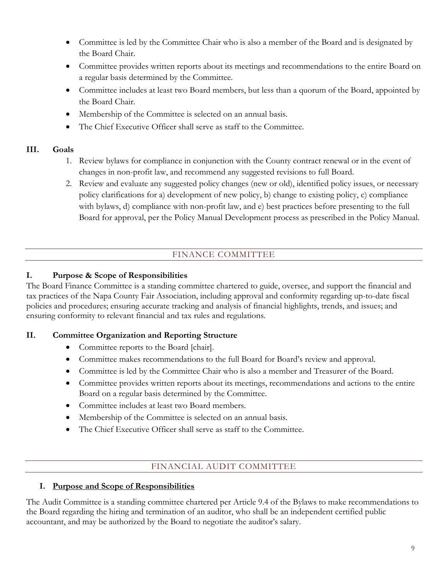- Committee is led by the Committee Chair who is also a member of the Board and is designated by the Board Chair.
- Committee provides written reports about its meetings and recommendations to the entire Board on a regular basis determined by the Committee.
- Committee includes at least two Board members, but less than a quorum of the Board, appointed by the Board Chair.
- Membership of the Committee is selected on an annual basis.
- The Chief Executive Officer shall serve as staff to the Committee.

# **III. Goals**

- 1. Review bylaws for compliance in conjunction with the County contract renewal or in the event of changes in non-profit law, and recommend any suggested revisions to full Board.
- 2. Review and evaluate any suggested policy changes (new or old), identified policy issues, or necessary policy clarifications for a) development of new policy, b) change to existing policy, c) compliance with bylaws, d) compliance with non-profit law, and e) best practices before presenting to the full Board for approval, per the Policy Manual Development process as prescribed in the Policy Manual.

# FINANCE COMMITTEE

## <span id="page-11-0"></span>**I. Purpose & Scope of Responsibilities**

The Board Finance Committee is a standing committee chartered to guide, oversee, and support the financial and tax practices of the Napa County Fair Association, including approval and conformity regarding up-to-date fiscal policies and procedures; ensuring accurate tracking and analysis of financial highlights, trends, and issues; and ensuring conformity to relevant financial and tax rules and regulations.

## **II. Committee Organization and Reporting Structure**

- Committee reports to the Board [chair].
- Committee makes recommendations to the full Board for Board's review and approval.
- Committee is led by the Committee Chair who is also a member and Treasurer of the Board.
- Committee provides written reports about its meetings, recommendations and actions to the entire Board on a regular basis determined by the Committee.
- Committee includes at least two Board members.
- Membership of the Committee is selected on an annual basis.
- The Chief Executive Officer shall serve as staff to the Committee.

# FINANCIAL AUDIT COMMITTEE

# <span id="page-11-1"></span>**I. Purpose and Scope of Responsibilities**

The Audit Committee is a standing committee chartered per Article 9.4 of the Bylaws to make recommendations to the Board regarding the hiring and termination of an auditor, who shall be an independent certified public accountant, and may be authorized by the Board to negotiate the auditor's salary.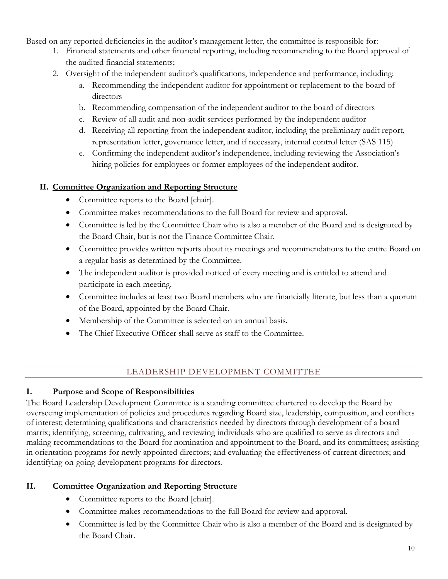Based on any reported deficiencies in the auditor's management letter, the committee is responsible for:

- 1. Financial statements and other financial reporting, including recommending to the Board approval of the audited financial statements;
- 2. Oversight of the independent auditor's qualifications, independence and performance, including:
	- a. Recommending the independent auditor for appointment or replacement to the board of directors
	- b. Recommending compensation of the independent auditor to the board of directors
	- c. Review of all audit and non-audit services performed by the independent auditor
	- d. Receiving all reporting from the independent auditor, including the preliminary audit report, representation letter, governance letter, and if necessary, internal control letter (SAS 115)
	- e. Confirming the independent auditor's independence, including reviewing the Association's hiring policies for employees or former employees of the independent auditor.

# **II. Committee Organization and Reporting Structure**

- Committee reports to the Board [chair].
- Committee makes recommendations to the full Board for review and approval.
- Committee is led by the Committee Chair who is also a member of the Board and is designated by the Board Chair, but is not the Finance Committee Chair.
- Committee provides written reports about its meetings and recommendations to the entire Board on a regular basis as determined by the Committee.
- The independent auditor is provided noticed of every meeting and is entitled to attend and participate in each meeting.
- Committee includes at least two Board members who are financially literate, but less than a quorum of the Board, appointed by the Board Chair.
- Membership of the Committee is selected on an annual basis.
- The Chief Executive Officer shall serve as staff to the Committee.

# LEADERSHIP DEVELOPMENT COMMITTEE

# <span id="page-12-0"></span>**I. Purpose and Scope of Responsibilities**

The Board Leadership Development Committee is a standing committee chartered to develop the Board by overseeing implementation of policies and procedures regarding Board size, leadership, composition, and conflicts of interest; determining qualifications and characteristics needed by directors through development of a board matrix; identifying, screening, cultivating, and reviewing individuals who are qualified to serve as directors and making recommendations to the Board for nomination and appointment to the Board, and its committees; assisting in orientation programs for newly appointed directors; and evaluating the effectiveness of current directors; and identifying on-going development programs for directors.

# **II. Committee Organization and Reporting Structure**

- Committee reports to the Board [chair].
- Committee makes recommendations to the full Board for review and approval.
- Committee is led by the Committee Chair who is also a member of the Board and is designated by the Board Chair.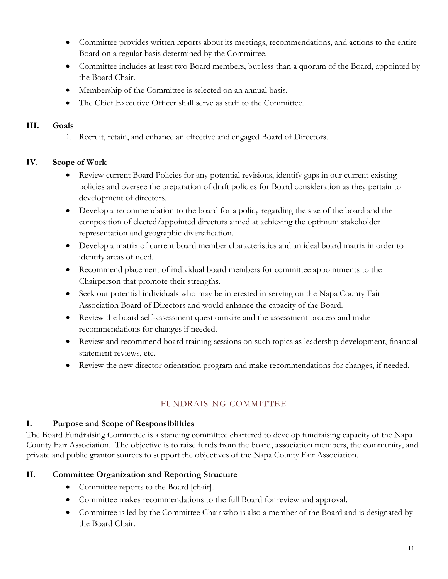- Committee provides written reports about its meetings, recommendations, and actions to the entire Board on a regular basis determined by the Committee.
- Committee includes at least two Board members, but less than a quorum of the Board, appointed by the Board Chair.
- Membership of the Committee is selected on an annual basis.
- The Chief Executive Officer shall serve as staff to the Committee.

#### **III. Goals**

1. Recruit, retain, and enhance an effective and engaged Board of Directors.

## **IV. Scope of Work**

- Review current Board Policies for any potential revisions, identify gaps in our current existing policies and oversee the preparation of draft policies for Board consideration as they pertain to development of directors.
- Develop a recommendation to the board for a policy regarding the size of the board and the composition of elected/appointed directors aimed at achieving the optimum stakeholder representation and geographic diversification.
- Develop a matrix of current board member characteristics and an ideal board matrix in order to identify areas of need.
- Recommend placement of individual board members for committee appointments to the Chairperson that promote their strengths.
- Seek out potential individuals who may be interested in serving on the Napa County Fair Association Board of Directors and would enhance the capacity of the Board.
- Review the board self-assessment questionnaire and the assessment process and make recommendations for changes if needed.
- Review and recommend board training sessions on such topics as leadership development, financial statement reviews, etc.
- Review the new director orientation program and make recommendations for changes, if needed.

# FUNDRAISING COMMITTEE

## <span id="page-13-0"></span>**I. Purpose and Scope of Responsibilities**

The Board Fundraising Committee is a standing committee chartered to develop fundraising capacity of the Napa County Fair Association. The objective is to raise funds from the board, association members, the community, and private and public grantor sources to support the objectives of the Napa County Fair Association.

## **II. Committee Organization and Reporting Structure**

- Committee reports to the Board [chair].
- Committee makes recommendations to the full Board for review and approval.
- Committee is led by the Committee Chair who is also a member of the Board and is designated by the Board Chair.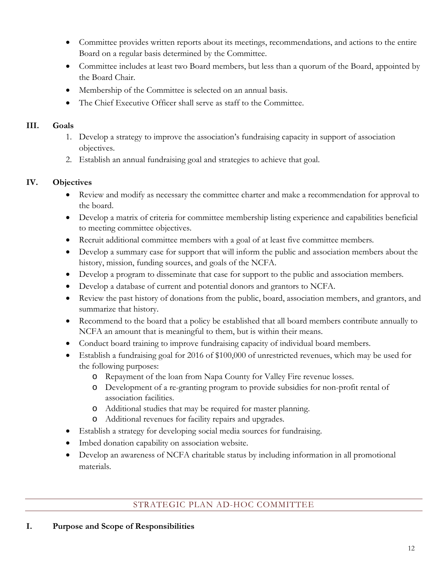- Committee provides written reports about its meetings, recommendations, and actions to the entire Board on a regular basis determined by the Committee.
- Committee includes at least two Board members, but less than a quorum of the Board, appointed by the Board Chair.
- Membership of the Committee is selected on an annual basis.
- The Chief Executive Officer shall serve as staff to the Committee.

# **III. Goals**

- 1. Develop a strategy to improve the association's fundraising capacity in support of association objectives.
- 2. Establish an annual fundraising goal and strategies to achieve that goal.

# **IV. Objectives**

- Review and modify as necessary the committee charter and make a recommendation for approval to the board.
- Develop a matrix of criteria for committee membership listing experience and capabilities beneficial to meeting committee objectives.
- Recruit additional committee members with a goal of at least five committee members.
- Develop a summary case for support that will inform the public and association members about the history, mission, funding sources, and goals of the NCFA.
- Develop a program to disseminate that case for support to the public and association members.
- Develop a database of current and potential donors and grantors to NCFA.
- Review the past history of donations from the public, board, association members, and grantors, and summarize that history.
- Recommend to the board that a policy be established that all board members contribute annually to NCFA an amount that is meaningful to them, but is within their means.
- Conduct board training to improve fundraising capacity of individual board members.
- Establish a fundraising goal for 2016 of \$100,000 of unrestricted revenues, which may be used for the following purposes:
	- o Repayment of the loan from Napa County for Valley Fire revenue losses.
	- o Development of a re-granting program to provide subsidies for non-profit rental of association facilities.
	- o Additional studies that may be required for master planning.
	- o Additional revenues for facility repairs and upgrades.
- Establish a strategy for developing social media sources for fundraising.
- Imbed donation capability on association website.
- Develop an awareness of NCFA charitable status by including information in all promotional materials.

# STRATEGIC PLAN AD-HOC COMMITTEE

## <span id="page-14-0"></span>**I. Purpose and Scope of Responsibilities**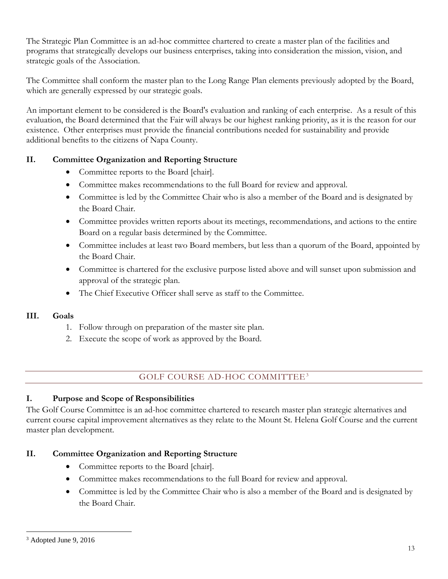The Strategic Plan Committee is an ad-hoc committee chartered to create a master plan of the facilities and programs that strategically develops our business enterprises, taking into consideration the mission, vision, and strategic goals of the Association.

The Committee shall conform the master plan to the Long Range Plan elements previously adopted by the Board, which are generally expressed by our strategic goals.

An important element to be considered is the Board's evaluation and ranking of each enterprise. As a result of this evaluation, the Board determined that the Fair will always be our highest ranking priority, as it is the reason for our existence. Other enterprises must provide the financial contributions needed for sustainability and provide additional benefits to the citizens of Napa County.

# **II. Committee Organization and Reporting Structure**

- Committee reports to the Board [chair].
- Committee makes recommendations to the full Board for review and approval.
- Committee is led by the Committee Chair who is also a member of the Board and is designated by the Board Chair.
- Committee provides written reports about its meetings, recommendations, and actions to the entire Board on a regular basis determined by the Committee.
- Committee includes at least two Board members, but less than a quorum of the Board, appointed by the Board Chair.
- Committee is chartered for the exclusive purpose listed above and will sunset upon submission and approval of the strategic plan.
- The Chief Executive Officer shall serve as staff to the Committee.

## **III. Goals**

- 1. Follow through on preparation of the master site plan.
- 2. Execute the scope of work as approved by the Board.

# GOLF COURSE AD-HOC COMMITTEE[3](#page-15-1)

## <span id="page-15-0"></span>**I. Purpose and Scope of Responsibilities**

The Golf Course Committee is an ad-hoc committee chartered to research master plan strategic alternatives and current course capital improvement alternatives as they relate to the Mount St. Helena Golf Course and the current master plan development.

# **II. Committee Organization and Reporting Structure**

- Committee reports to the Board [chair].
- Committee makes recommendations to the full Board for review and approval.
- Committee is led by the Committee Chair who is also a member of the Board and is designated by the Board Chair.

 $\overline{a}$ 

<span id="page-15-1"></span><sup>3</sup> Adopted June 9, 2016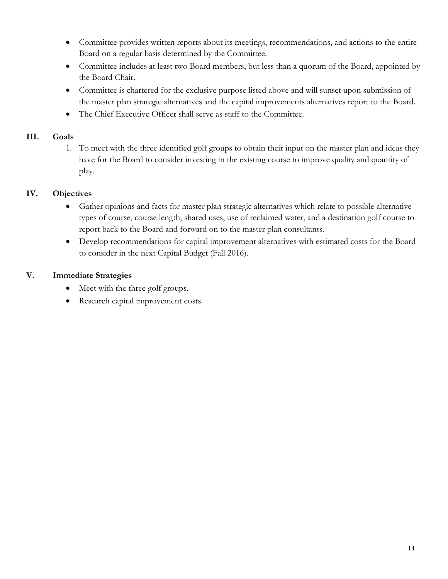- Committee provides written reports about its meetings, recommendations, and actions to the entire Board on a regular basis determined by the Committee.
- Committee includes at least two Board members, but less than a quorum of the Board, appointed by the Board Chair.
- Committee is chartered for the exclusive purpose listed above and will sunset upon submission of the master plan strategic alternatives and the capital improvements alternatives report to the Board.
- The Chief Executive Officer shall serve as staff to the Committee.

## **III. Goals**

1. To meet with the three identified golf groups to obtain their input on the master plan and ideas they have for the Board to consider investing in the existing course to improve quality and quantity of play.

# **IV. Objectives**

- Gather opinions and facts for master plan strategic alternatives which relate to possible alternative types of course, course length, shared uses, use of reclaimed water, and a destination golf course to report back to the Board and forward on to the master plan consultants.
- Develop recommendations for capital improvement alternatives with estimated costs for the Board to consider in the next Capital Budget (Fall 2016).

# **V. Immediate Strategies**

- Meet with the three golf groups.
- Research capital improvement costs.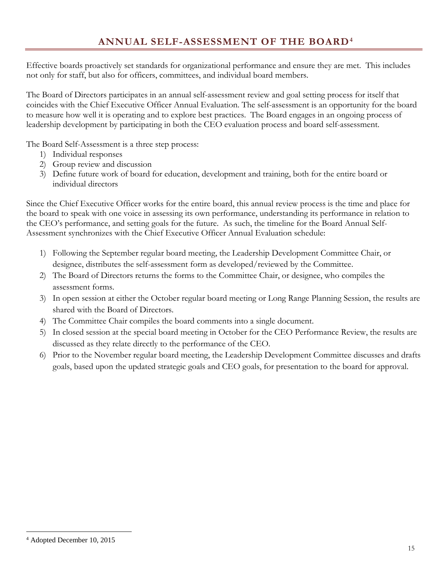<span id="page-17-0"></span>Effective boards proactively set standards for organizational performance and ensure they are met. This includes not only for staff, but also for officers, committees, and individual board members.

The Board of Directors participates in an annual self-assessment review and goal setting process for itself that coincides with the Chief Executive Officer Annual Evaluation. The self-assessment is an opportunity for the board to measure how well it is operating and to explore best practices. The Board engages in an ongoing process of leadership development by participating in both the CEO evaluation process and board self-assessment.

The Board Self-Assessment is a three step process:

- 1) Individual responses
- 2) Group review and discussion
- 3) Define future work of board for education, development and training, both for the entire board or individual directors

Since the Chief Executive Officer works for the entire board, this annual review process is the time and place for the board to speak with one voice in assessing its own performance, understanding its performance in relation to the CEO's performance, and setting goals for the future. As such, the timeline for the Board Annual Self-Assessment synchronizes with the Chief Executive Officer Annual Evaluation schedule:

- 1) Following the September regular board meeting, the Leadership Development Committee Chair, or designee, distributes the self-assessment form as developed/reviewed by the Committee.
- 2) The Board of Directors returns the forms to the Committee Chair, or designee, who compiles the assessment forms.
- 3) In open session at either the October regular board meeting or Long Range Planning Session, the results are shared with the Board of Directors.
- 4) The Committee Chair compiles the board comments into a single document.
- 5) In closed session at the special board meeting in October for the CEO Performance Review, the results are discussed as they relate directly to the performance of the CEO.
- 6) Prior to the November regular board meeting, the Leadership Development Committee discusses and drafts goals, based upon the updated strategic goals and CEO goals, for presentation to the board for approval.

<span id="page-17-1"></span> $\overline{a}$ <sup>4</sup> Adopted December 10, 2015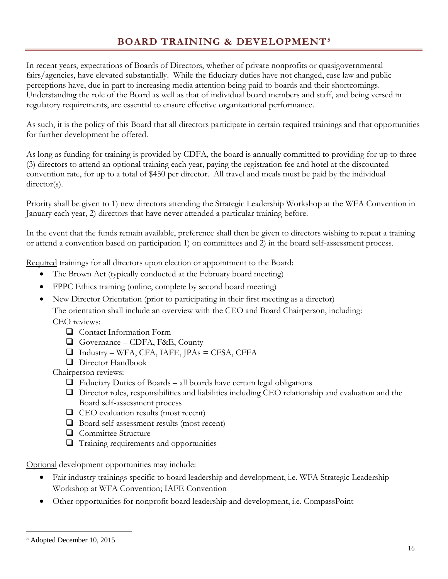# **BOARD TRAINING & DEVELOPMENT[5](#page-18-1)**

<span id="page-18-0"></span>In recent years, expectations of Boards of Directors, whether of private nonprofits or quasigovernmental fairs/agencies, have elevated substantially. While the fiduciary duties have not changed, case law and public perceptions have, due in part to increasing media attention being paid to boards and their shortcomings. Understanding the role of the Board as well as that of individual board members and staff, and being versed in regulatory requirements, are essential to ensure effective organizational performance.

As such, it is the policy of this Board that all directors participate in certain required trainings and that opportunities for further development be offered.

As long as funding for training is provided by CDFA, the board is annually committed to providing for up to three (3) directors to attend an optional training each year, paying the registration fee and hotel at the discounted convention rate, for up to a total of \$450 per director. All travel and meals must be paid by the individual director(s).

Priority shall be given to 1) new directors attending the Strategic Leadership Workshop at the WFA Convention in January each year, 2) directors that have never attended a particular training before.

In the event that the funds remain available, preference shall then be given to directors wishing to repeat a training or attend a convention based on participation 1) on committees and 2) in the board self-assessment process.

Required trainings for all directors upon election or appointment to the Board:

- The Brown Act (typically conducted at the February board meeting)
- FPPC Ethics training (online, complete by second board meeting)
- New Director Orientation (prior to participating in their first meeting as a director)

The orientation shall include an overview with the CEO and Board Chairperson, including: CEO reviews:

- **Q** Contact Information Form
- Governance CDFA, F&E, County
- $\Box$  Industry WFA, CFA, IAFE, JPAs = CFSA, CFFA
- **Q** Director Handbook

Chairperson reviews:

- $\Box$  Fiduciary Duties of Boards all boards have certain legal obligations
- Director roles, responsibilities and liabilities including CEO relationship and evaluation and the Board self-assessment process
- $\Box$  CEO evaluation results (most recent)
- $\Box$  Board self-assessment results (most recent)
- **Q** Committee Structure
- $\Box$  Training requirements and opportunities

Optional development opportunities may include:

- Fair industry trainings specific to board leadership and development, i.e. WFA Strategic Leadership Workshop at WFA Convention; IAFE Convention
- Other opportunities for nonprofit board leadership and development, i.e. CompassPoint

 $\overline{a}$ 

<span id="page-18-1"></span><sup>5</sup> Adopted December 10, 2015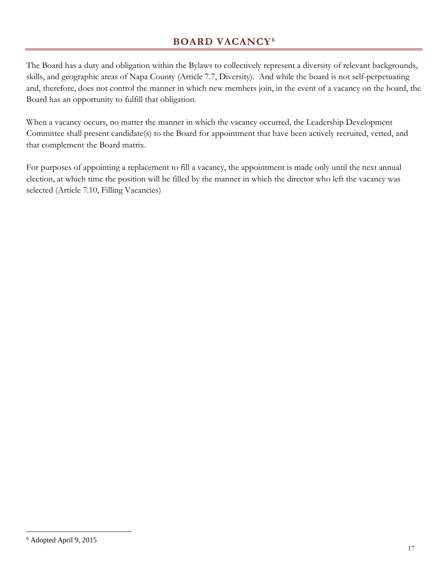# **BOARD VACANCY[6](#page-19-1)**

<span id="page-19-0"></span>The Board has a duty and obligation within the Bylaws to collectively represent a diversity of relevant backgrounds, skills, and geographic areas of Napa County (Article 7.7, Diversity). And while the board is not self-perpetuating and, therefore, does not control the manner in which new members join, in the event of a vacancy on the board, the Board has an opportunity to fulfill that obligation.

When a vacancy occurs, no matter the manner in which the vacancy occurred, the Leadership Development Committee shall present candidate(s) to the Board for appointment that have been actively recruited, vetted, and that complement the Board matrix.

For purposes of appointing a replacement to fill a vacancy, the appointment is made only until the next annual election, at which time the position will be filled by the manner in which the director who left the vacancy was selected (Article 7.10, Filling Vacancies)

<span id="page-19-1"></span> $\overline{a}$ <sup>6</sup> Adopted April 9, 2015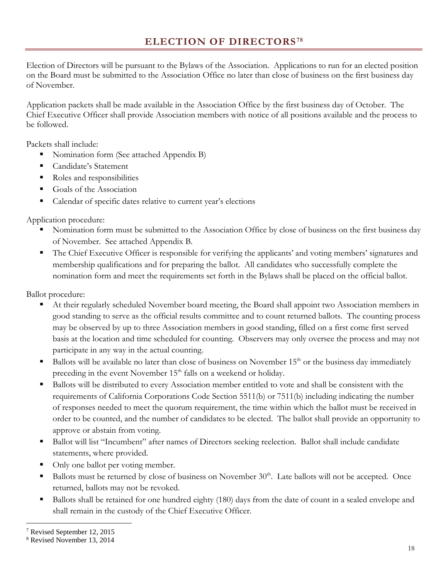<span id="page-20-0"></span>Election of Directors will be pursuant to the Bylaws of the Association. Applications to run for an elected position on the Board must be submitted to the Association Office no later than close of business on the first business day of November.

Application packets shall be made available in the Association Office by the first business day of October. The Chief Executive Officer shall provide Association members with notice of all positions available and the process to be followed.

Packets shall include:

- Nomination form (See attached Appendix B)
- Candidate's Statement
- Roles and responsibilities
- Goals of the Association
- Calendar of specific dates relative to current year's elections

Application procedure:

- Nomination form must be submitted to the Association Office by close of business on the first business day of November. See attached Appendix B.
- The Chief Executive Officer is responsible for verifying the applicants' and voting members' signatures and membership qualifications and for preparing the ballot. All candidates who successfully complete the nomination form and meet the requirements set forth in the Bylaws shall be placed on the official ballot.

Ballot procedure:

- At their regularly scheduled November board meeting, the Board shall appoint two Association members in good standing to serve as the official results committee and to count returned ballots. The counting process may be observed by up to three Association members in good standing, filled on a first come first served basis at the location and time scheduled for counting. Observers may only oversee the process and may not participate in any way in the actual counting.
- Ballots will be available no later than close of business on November  $15<sup>th</sup>$  or the business day immediately preceding in the event November  $15<sup>th</sup>$  falls on a weekend or holiday.
- Ballots will be distributed to every Association member entitled to vote and shall be consistent with the requirements of California Corporations Code Section 5511(b) or 7511(b) including indicating the number of responses needed to meet the quorum requirement, the time within which the ballot must be received in order to be counted, and the number of candidates to be elected. The ballot shall provide an opportunity to approve or abstain from voting.
- Ballot will list "Incumbent" after names of Directors seeking reelection. Ballot shall include candidate statements, where provided.
- Only one ballot per voting member.
- Ballots must be returned by close of business on November 30<sup>th</sup>. Late ballots will not be accepted. Once returned, ballots may not be revoked.
- Ballots shall be retained for one hundred eighty (180) days from the date of count in a sealed envelope and shall remain in the custody of the Chief Executive Officer.

 $\overline{a}$ 

<span id="page-20-1"></span><sup>7</sup> Revised September 12, 2015

<span id="page-20-2"></span><sup>8</sup> Revised November 13, 2014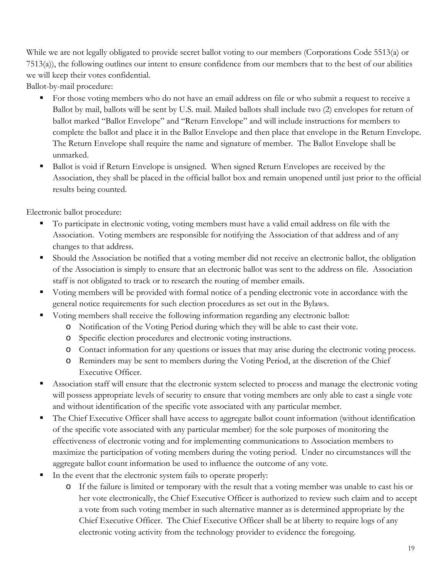While we are not legally obligated to provide secret ballot voting to our members (Corporations Code 5513(a) or 7513(a)), the following outlines our intent to ensure confidence from our members that to the best of our abilities we will keep their votes confidential.

Ballot-by-mail procedure:

- For those voting members who do not have an email address on file or who submit a request to receive a Ballot by mail, ballots will be sent by U.S. mail. Mailed ballots shall include two (2) envelopes for return of ballot marked "Ballot Envelope" and "Return Envelope" and will include instructions for members to complete the ballot and place it in the Ballot Envelope and then place that envelope in the Return Envelope. The Return Envelope shall require the name and signature of member. The Ballot Envelope shall be unmarked.
- Ballot is void if Return Envelope is unsigned. When signed Return Envelopes are received by the Association, they shall be placed in the official ballot box and remain unopened until just prior to the official results being counted.

Electronic ballot procedure:

- To participate in electronic voting, voting members must have a valid email address on file with the Association. Voting members are responsible for notifying the Association of that address and of any changes to that address.
- Should the Association be notified that a voting member did not receive an electronic ballot, the obligation of the Association is simply to ensure that an electronic ballot was sent to the address on file. Association staff is not obligated to track or to research the routing of member emails.
- Voting members will be provided with formal notice of a pending electronic vote in accordance with the general notice requirements for such election procedures as set out in the Bylaws.
- Voting members shall receive the following information regarding any electronic ballot:
	- o Notification of the Voting Period during which they will be able to cast their vote.
	- o Specific election procedures and electronic voting instructions.
	- o Contact information for any questions or issues that may arise during the electronic voting process.
	- o Reminders may be sent to members during the Voting Period, at the discretion of the Chief Executive Officer.
- Association staff will ensure that the electronic system selected to process and manage the electronic voting will possess appropriate levels of security to ensure that voting members are only able to cast a single vote and without identification of the specific vote associated with any particular member.
- The Chief Executive Officer shall have access to aggregate ballot count information (without identification of the specific vote associated with any particular member) for the sole purposes of monitoring the effectiveness of electronic voting and for implementing communications to Association members to maximize the participation of voting members during the voting period. Under no circumstances will the aggregate ballot count information be used to influence the outcome of any vote.
- In the event that the electronic system fails to operate properly:
	- o If the failure is limited or temporary with the result that a voting member was unable to cast his or her vote electronically, the Chief Executive Officer is authorized to review such claim and to accept a vote from such voting member in such alternative manner as is determined appropriate by the Chief Executive Officer. The Chief Executive Officer shall be at liberty to require logs of any electronic voting activity from the technology provider to evidence the foregoing.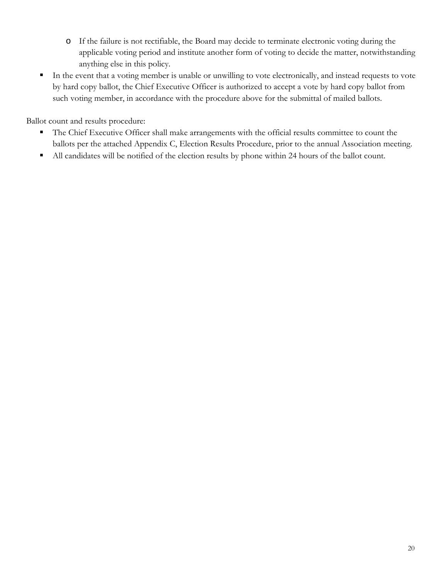- o If the failure is not rectifiable, the Board may decide to terminate electronic voting during the applicable voting period and institute another form of voting to decide the matter, notwithstanding anything else in this policy.
- In the event that a voting member is unable or unwilling to vote electronically, and instead requests to vote by hard copy ballot, the Chief Executive Officer is authorized to accept a vote by hard copy ballot from such voting member, in accordance with the procedure above for the submittal of mailed ballots.

Ballot count and results procedure:

- The Chief Executive Officer shall make arrangements with the official results committee to count the ballots per the attached Appendix C, Election Results Procedure, prior to the annual Association meeting.
- All candidates will be notified of the election results by phone within 24 hours of the ballot count.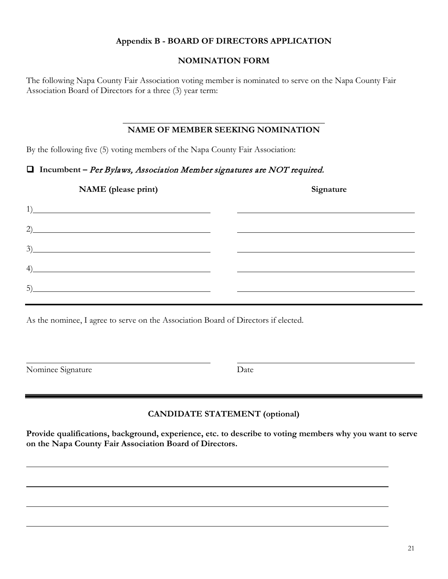#### **Appendix B - BOARD OF DIRECTORS APPLICATION**

#### **NOMINATION FORM**

The following Napa County Fair Association voting member is nominated to serve on the Napa County Fair Association Board of Directors for a three (3) year term:

#### **\_\_\_\_\_\_\_\_\_\_\_\_\_\_\_\_\_\_\_\_\_\_\_\_\_\_\_\_\_\_\_\_\_\_\_\_\_\_\_\_\_\_\_\_\_\_ NAME OF MEMBER SEEKING NOMINATION**

By the following five (5) voting members of the Napa County Fair Association:

#### **Incumbent –** Per Bylaws, Association Member signatures are NOT required.

| NAME (please print)                                                                                                         | Signature |
|-----------------------------------------------------------------------------------------------------------------------------|-----------|
| 1)<br><u> 1989 - Johann Barn, mars ann an t-Amhain an t-Amhain an t-Amhain an t-Amhain an t-Amhain an t-Amhain an t-Amh</u> |           |
| 2)<br><u> 1989 - Johann Stoff, amerikansk politiker (* 1908)</u>                                                            |           |
| 3)                                                                                                                          |           |
| 4)                                                                                                                          |           |
| 5)                                                                                                                          |           |

As the nominee, I agree to serve on the Association Board of Directors if elected.

Nominee Signature Date

## **CANDIDATE STATEMENT (optional)**

**Provide qualifications, background, experience, etc. to describe to voting members why you want to serve on the Napa County Fair Association Board of Directors.**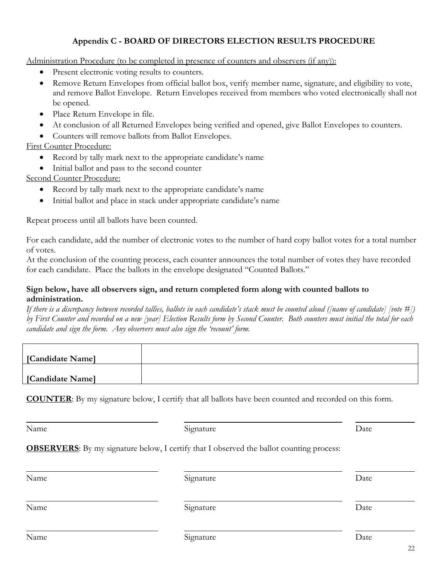#### **Appendix C - BOARD OF DIRECTORS ELECTION RESULTS PROCEDURE**

Administration Procedure (to be completed in presence of counters and observers (if any)):

- Present electronic voting results to counters.
- Remove Return Envelopes from official ballot box, verify member name, signature, and eligibility to vote, and remove Ballot Envelope. Return Envelopes received from members who voted electronically shall not be opened.
- Place Return Envelope in file.
- At conclusion of all Returned Envelopes being verified and opened, give Ballot Envelopes to counters.
- Counters will remove ballots from Ballot Envelopes.

#### First Counter Procedure:

- Record by tally mark next to the appropriate candidate's name
- Initial ballot and pass to the second counter

#### Second Counter Procedure:

- Record by tally mark next to the appropriate candidate's name
- Initial ballot and place in stack under appropriate candidate's name

Repeat process until all ballots have been counted.

For each candidate, add the number of electronic votes to the number of hard copy ballot votes for a total number of votes.

At the conclusion of the counting process, each counter announces the total number of votes they have recorded for each candidate. Place the ballots in the envelope designated "Counted Ballots."

#### **Sign below, have all observers sign, and return completed form along with counted ballots to administration.**

*If there is a discrepancy between recorded tallies, ballots in each candidate's stack must be counted aloud ([name of candidate] [vote #]) by First Counter and recorded on a new [year] Election Results form by Second Counter. Both counters must initial the total for each candidate and sign the form. Any observers must also sign the 'recount' form.*

| [Candidate Name] |  |
|------------------|--|
|                  |  |
| [Candidate Name] |  |

**COUNTER**: By my signature below, I certify that all ballots have been counted and recorded on this form.

| Name | Signature                                                                                       | Date |
|------|-------------------------------------------------------------------------------------------------|------|
|      | <b>OBSERVERS:</b> By my signature below, I certify that I observed the ballot counting process: |      |
| Name | Signature                                                                                       | Date |
| Name | Signature                                                                                       | Date |
| Name | Signature                                                                                       | Date |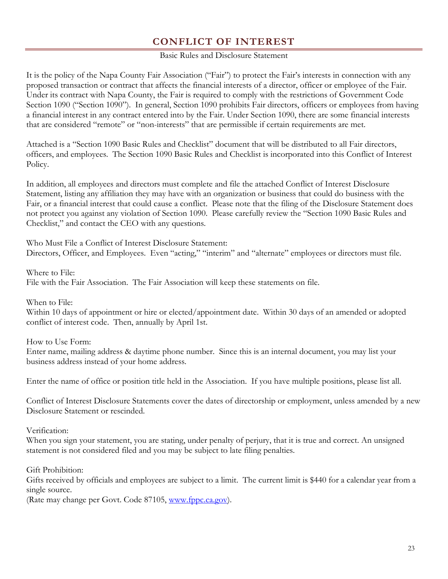# **CONFLICT OF INTEREST**

#### Basic Rules and Disclosure Statement

<span id="page-25-0"></span>It is the policy of the Napa County Fair Association ("Fair") to protect the Fair's interests in connection with any proposed transaction or contract that affects the financial interests of a director, officer or employee of the Fair. Under its contract with Napa County, the Fair is required to comply with the restrictions of Government Code Section 1090 ("Section 1090"). In general, Section 1090 prohibits Fair directors, officers or employees from having a financial interest in any contract entered into by the Fair. Under Section 1090, there are some financial interests that are considered "remote" or "non-interests" that are permissible if certain requirements are met.

Attached is a "Section 1090 Basic Rules and Checklist" document that will be distributed to all Fair directors, officers, and employees. The Section 1090 Basic Rules and Checklist is incorporated into this Conflict of Interest Policy.

In addition, all employees and directors must complete and file the attached Conflict of Interest Disclosure Statement, listing any affiliation they may have with an organization or business that could do business with the Fair, or a financial interest that could cause a conflict. Please note that the filing of the Disclosure Statement does not protect you against any violation of Section 1090. Please carefully review the "Section 1090 Basic Rules and Checklist," and contact the CEO with any questions.

Who Must File a Conflict of Interest Disclosure Statement: Directors, Officer, and Employees. Even "acting," "interim" and "alternate" employees or directors must file.

Where to File:

File with the Fair Association. The Fair Association will keep these statements on file.

When to File:

Within 10 days of appointment or hire or elected/appointment date. Within 30 days of an amended or adopted conflict of interest code. Then, annually by April 1st.

How to Use Form:

Enter name, mailing address & daytime phone number. Since this is an internal document, you may list your business address instead of your home address.

Enter the name of office or position title held in the Association. If you have multiple positions, please list all.

Conflict of Interest Disclosure Statements cover the dates of directorship or employment, unless amended by a new Disclosure Statement or rescinded.

Verification:

When you sign your statement, you are stating, under penalty of perjury, that it is true and correct. An unsigned statement is not considered filed and you may be subject to late filing penalties.

Gift Prohibition:

Gifts received by officials and employees are subject to a limit. The current limit is \$440 for a calendar year from a single source.

(Rate may change per Govt. Code 87105, [www.fppc.ca.gov\)](http://www.fppc.ca.gov/).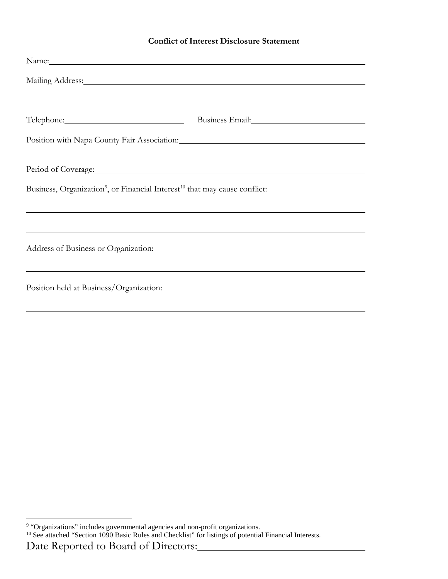#### **Conflict of Interest Disclosure Statement**

| Name: Name and the second contract of the second contract of the second contract of the second contract of the second contract of the second contract of the second contract of the second contract of the second contract of  |                                                                                                                                                                                                                                |  |  |
|--------------------------------------------------------------------------------------------------------------------------------------------------------------------------------------------------------------------------------|--------------------------------------------------------------------------------------------------------------------------------------------------------------------------------------------------------------------------------|--|--|
| Mailing Address: National Address: National Address: National Address: National Address: National Address: National Address: National Address: National Address: National Address: National Address: National Address: Nationa |                                                                                                                                                                                                                                |  |  |
| ,我们也不会有什么。""我们的人,我们也不会有什么?""我们的人,我们也不会有什么?""我们的人,我们也不会有什么?""我们的人,我们也不会有什么?""我们的人                                                                                                                                               | Business Email: Value of the Contract of the Contract of the Contract of the Contract of the Contract of the Contract of the Contract of the Contract of the Contract of the Contract of the Contract of the Contract of the C |  |  |
| Position with Napa County Fair Association: Manual Manual Association:                                                                                                                                                         |                                                                                                                                                                                                                                |  |  |
| Business, Organization <sup>9</sup> , or Financial Interest <sup>10</sup> that may cause conflict:                                                                                                                             |                                                                                                                                                                                                                                |  |  |
|                                                                                                                                                                                                                                | <u> 1989 - Andrea Santa Andrea Andrea Andrea Andrea Andrea Andrea Andrea Andrea Andrea Andrea Andrea Andrea Andr</u>                                                                                                           |  |  |
| Address of Business or Organization:                                                                                                                                                                                           |                                                                                                                                                                                                                                |  |  |
| Position held at Business/Organization:                                                                                                                                                                                        |                                                                                                                                                                                                                                |  |  |
|                                                                                                                                                                                                                                |                                                                                                                                                                                                                                |  |  |

<span id="page-26-1"></span><sup>10</sup> See attached "Section 1090 Basic Rules and Checklist" for listings of potential Financial Interests.

<span id="page-26-0"></span> $\overline{a}$ <sup>9</sup> "Organizations" includes governmental agencies and non-profit organizations.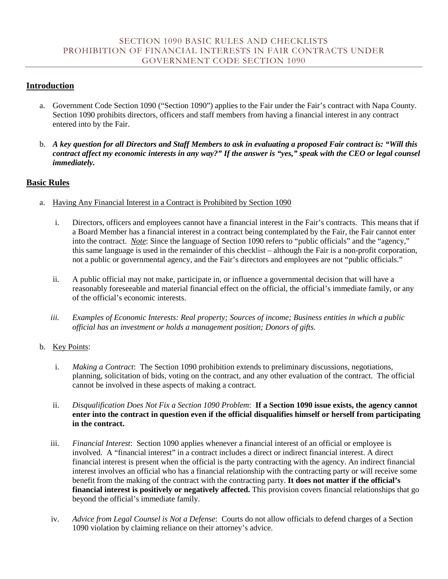## <span id="page-27-2"></span><span id="page-27-1"></span><span id="page-27-0"></span>**Introduction**

- a. Government Code Section 1090 ("Section 1090") applies to the Fair under the Fair's contract with Napa County. Section 1090 prohibits directors, officers and staff members from having a financial interest in any contract entered into by the Fair.
- b. *A key question for all Directors and Staff Members to ask in evaluating a proposed Fair contract is: "Will this contract affect my economic interests in any way?" If the answer is "yes," speak with the CEO or legal counsel immediately.*

## **Basic Rules**

- a. Having Any Financial Interest in a Contract is Prohibited by Section 1090
	- i. Directors, officers and employees cannot have a financial interest in the Fair's contracts. This means that if a Board Member has a financial interest in a contract being contemplated by the Fair, the Fair cannot enter into the contract. *Note*: Since the language of Section 1090 refers to "public officials" and the "agency," this same language is used in the remainder of this checklist – although the Fair is a non-profit corporation, not a public or governmental agency, and the Fair's directors and employees are not "public officials."
	- ii. A public official may not make, participate in, or influence a governmental decision that will have a reasonably foreseeable and material financial effect on the official, the official's immediate family, or any of the official's economic interests.
	- *iii. Examples of Economic Interests: Real property; Sources of income; Business entities in which a public official has an investment or holds a management position; Donors of gifts.*

#### b. Key Points:

- i. *Making a Contract*: The Section 1090 prohibition extends to preliminary discussions, negotiations, planning, solicitation of bids, voting on the contract, and any other evaluation of the contract. The official cannot be involved in these aspects of making a contract.
- ii. *Disqualification Does Not Fix a Section 1090 Problem*: **If a Section 1090 issue exists, the agency cannot enter into the contract in question even if the official disqualifies himself or herself from participating in the contract.**
- iii. *Financial Interest*: Section 1090 applies whenever a financial interest of an official or employee is involved. A "financial interest" in a contract includes a direct or indirect financial interest. A direct financial interest is present when the official is the party contracting with the agency. An indirect financial interest involves an official who has a financial relationship with the contracting party or will receive some benefit from the making of the contract with the contracting party. **It does not matter if the official's financial interest is positively or negatively affected.** This provision covers financial relationships that go beyond the official's immediate family.
- iv. *Advice from Legal Counsel is Not a Defense*: Courts do not allow officials to defend charges of a Section 1090 violation by claiming reliance on their attorney's advice.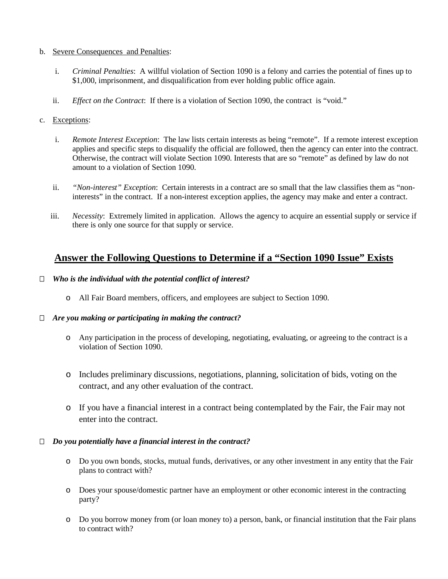#### b. Severe Consequences and Penalties:

- i. *Criminal Penalties*: A willful violation of Section 1090 is a felony and carries the potential of fines up to \$1,000, imprisonment, and disqualification from ever holding public office again.
- ii. *Effect on the Contract*: If there is a violation of Section 1090, the contract is "void."

#### c. Exceptions:

- i. *Remote Interest Exception*: The law lists certain interests as being "remote". If a remote interest exception applies and specific steps to disqualify the official are followed, then the agency can enter into the contract. Otherwise, the contract will violate Section 1090. Interests that are so "remote" as defined by law do not amount to a violation of Section 1090.
- ii. *"Non-interest" Exception*: Certain interests in a contract are so small that the law classifies them as "noninterests" in the contract. If a non-interest exception applies, the agency may make and enter a contract.
- iii. *Necessity*: Extremely limited in application. Allows the agency to acquire an essential supply or service if there is only one source for that supply or service.

# **Answer the Following Questions to Determine if a "Section 1090 Issue" Exists**

#### *Who is the individual with the potential conflict of interest?*

o All Fair Board members, officers, and employees are subject to Section 1090.

#### *Are you making or participating in making the contract?*

- o Any participation in the process of developing, negotiating, evaluating, or agreeing to the contract is a violation of Section 1090.
- o Includes preliminary discussions, negotiations, planning, solicitation of bids, voting on the contract, and any other evaluation of the contract.
- o If you have a financial interest in a contract being contemplated by the Fair, the Fair may not enter into the contract.

#### *Do you potentially have a financial interest in the contract?*

- o Do you own bonds, stocks, mutual funds, derivatives, or any other investment in any entity that the Fair plans to contract with?
- o Does your spouse/domestic partner have an employment or other economic interest in the contracting party?
- o Do you borrow money from (or loan money to) a person, bank, or financial institution that the Fair plans to contract with?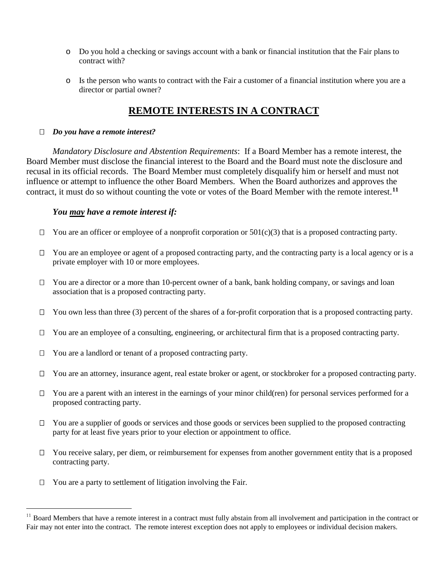- o Do you hold a checking or savings account with a bank or financial institution that the Fair plans to contract with?
- o Is the person who wants to contract with the Fair a customer of a financial institution where you are a director or partial owner?

# **REMOTE INTERESTS IN A CONTRACT**

#### *Do you have a remote interest?*

*Mandatory Disclosure and Abstention Requirements*: If a Board Member has a remote interest, the Board Member must disclose the financial interest to the Board and the Board must note the disclosure and recusal in its official records. The Board Member must completely disqualify him or herself and must not influence or attempt to influence the other Board Members. When the Board authorizes and approves the contract, it must do so without counting the vote or votes of the Board Member with the remote interest.**[11](#page-29-0)**

#### *You may have a remote interest if:*

- $\Box$  You are an officer or employee of a nonprofit corporation or  $501(c)(3)$  that is a proposed contracting party.
- □ You are an employee or agent of a proposed contracting party, and the contracting party is a local agency or is a private employer with 10 or more employees.
- $\Box$  You are a director or a more than 10-percent owner of a bank, bank holding company, or savings and loan association that is a proposed contracting party.
- $\Box$  You own less than three (3) percent of the shares of a for-profit corporation that is a proposed contracting party.
- $\Box$  You are an employee of a consulting, engineering, or architectural firm that is a proposed contracting party.
- $\Box$  You are a landlord or tenant of a proposed contracting party.
- □ You are an attorney, insurance agent, real estate broker or agent, or stockbroker for a proposed contracting party.
- $\Box$  You are a parent with an interest in the earnings of your minor child(ren) for personal services performed for a proposed contracting party.
- $\Box$  You are a supplier of goods or services and those goods or services been supplied to the proposed contracting party for at least five years prior to your election or appointment to office.
- □ You receive salary, per diem, or reimbursement for expenses from another government entity that is a proposed contracting party.
- $\Box$  You are a party to settlement of litigation involving the Fair.

<span id="page-29-0"></span><sup>&</sup>lt;sup>11</sup> Board Members that have a remote interest in a contract must fully abstain from all involvement and participation in the contract or Fair may not enter into the contract. The remote interest exception does not apply to employees or individual decision makers.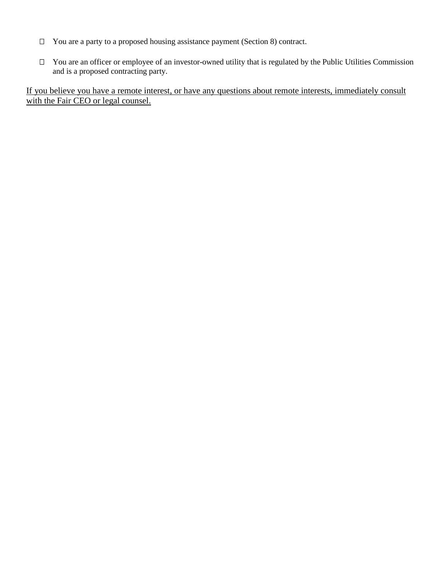- $\Box$  You are a party to a proposed housing assistance payment (Section 8) contract.
- □ You are an officer or employee of an investor-owned utility that is regulated by the Public Utilities Commission and is a proposed contracting party.

If you believe you have a remote interest, or have any questions about remote interests, immediately consult with the Fair CEO or legal counsel.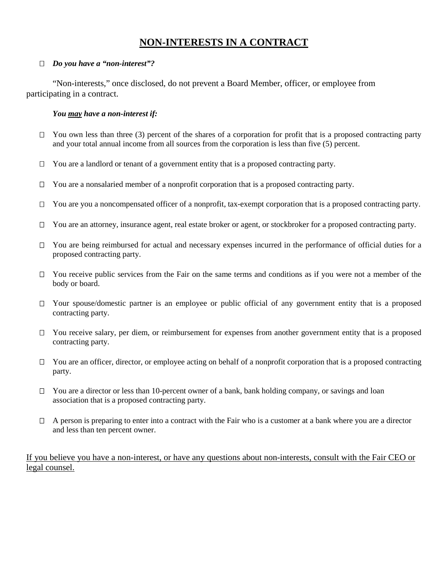# **NON-INTERESTS IN A CONTRACT**

#### *Do you have a "non-interest"?*

"Non-interests," once disclosed, do not prevent a Board Member, officer, or employee from participating in a contract.

#### *You may have a non-interest if:*

- $\Box$  You own less than three (3) percent of the shares of a corporation for profit that is a proposed contracting party and your total annual income from all sources from the corporation is less than five (5) percent.
- $\Box$  You are a landlord or tenant of a government entity that is a proposed contracting party.
- $\Box$  You are a nonsalaried member of a nonprofit corporation that is a proposed contracting party.
- $\Box$  You are you a noncompensated officer of a nonprofit, tax-exempt corporation that is a proposed contracting party.
- □ You are an attorney, insurance agent, real estate broker or agent, or stockbroker for a proposed contracting party.
- □ You are being reimbursed for actual and necessary expenses incurred in the performance of official duties for a proposed contracting party.
- $\Box$  You receive public services from the Fair on the same terms and conditions as if you were not a member of the body or board.
- $\Box$  Your spouse/domestic partner is an employee or public official of any government entity that is a proposed contracting party.
- $\Box$  You receive salary, per diem, or reimbursement for expenses from another government entity that is a proposed contracting party.
- □ You are an officer, director, or employee acting on behalf of a nonprofit corporation that is a proposed contracting party.
- $\Box$  You are a director or less than 10-percent owner of a bank, bank holding company, or savings and loan association that is a proposed contracting party.
- $\Box$  A person is preparing to enter into a contract with the Fair who is a customer at a bank where you are a director and less than ten percent owner.

#### If you believe you have a non-interest, or have any questions about non-interests, consult with the Fair CEO or legal counsel.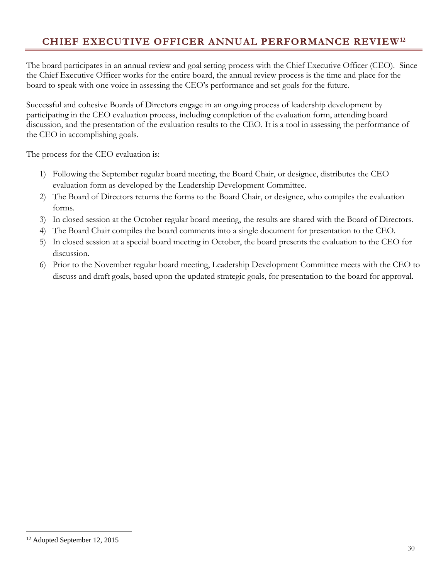# <span id="page-32-0"></span>**CHIEF EXECUTIVE OFFICER ANNUAL PERFORMANCE REVIEW[12](#page-32-1)**

The board participates in an annual review and goal setting process with the Chief Executive Officer (CEO). Since the Chief Executive Officer works for the entire board, the annual review process is the time and place for the board to speak with one voice in assessing the CEO's performance and set goals for the future.

Successful and cohesive Boards of Directors engage in an ongoing process of leadership development by participating in the CEO evaluation process, including completion of the evaluation form, attending board discussion, and the presentation of the evaluation results to the CEO. It is a tool in assessing the performance of the CEO in accomplishing goals.

The process for the CEO evaluation is:

- 1) Following the September regular board meeting, the Board Chair, or designee, distributes the CEO evaluation form as developed by the Leadership Development Committee.
- 2) The Board of Directors returns the forms to the Board Chair, or designee, who compiles the evaluation forms.
- 3) In closed session at the October regular board meeting, the results are shared with the Board of Directors.
- 4) The Board Chair compiles the board comments into a single document for presentation to the CEO.
- 5) In closed session at a special board meeting in October, the board presents the evaluation to the CEO for discussion.
- 6) Prior to the November regular board meeting, Leadership Development Committee meets with the CEO to discuss and draft goals, based upon the updated strategic goals, for presentation to the board for approval.

 $\overline{a}$ 

<span id="page-32-1"></span><sup>12</sup> Adopted September 12, 2015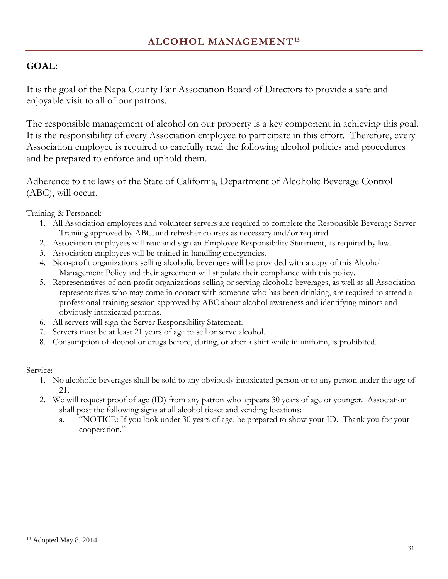# <span id="page-33-0"></span>**GOAL:**

It is the goal of the Napa County Fair Association Board of Directors to provide a safe and enjoyable visit to all of our patrons.

The responsible management of alcohol on our property is a key component in achieving this goal. It is the responsibility of every Association employee to participate in this effort. Therefore, every Association employee is required to carefully read the following alcohol policies and procedures and be prepared to enforce and uphold them.

Adherence to the laws of the State of California, Department of Alcoholic Beverage Control (ABC), will occur.

Training & Personnel:

- 1. All Association employees and volunteer servers are required to complete the Responsible Beverage Server Training approved by ABC, and refresher courses as necessary and/or required.
- 2. Association employees will read and sign an Employee Responsibility Statement, as required by law.
- 3. Association employees will be trained in handling emergencies.
- 4. Non-profit organizations selling alcoholic beverages will be provided with a copy of this Alcohol Management Policy and their agreement will stipulate their compliance with this policy.
- 5. Representatives of non-profit organizations selling or serving alcoholic beverages, as well as all Association representatives who may come in contact with someone who has been drinking, are required to attend a professional training session approved by ABC about alcohol awareness and identifying minors and obviously intoxicated patrons.
- 6. All servers will sign the Server Responsibility Statement.
- 7. Servers must be at least 21 years of age to sell or serve alcohol.
- 8. Consumption of alcohol or drugs before, during, or after a shift while in uniform, is prohibited.

## Service:

- 1. No alcoholic beverages shall be sold to any obviously intoxicated person or to any person under the age of 21.
- 2. We will request proof of age (ID) from any patron who appears 30 years of age or younger. Association shall post the following signs at all alcohol ticket and vending locations:
	- a. "NOTICE: If you look under 30 years of age, be prepared to show your ID. Thank you for your cooperation."

 $\overline{a}$ 

<span id="page-33-1"></span><sup>13</sup> Adopted May 8, 2014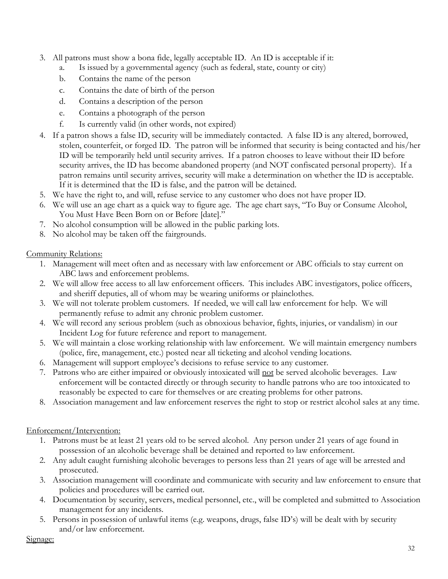- 3. All patrons must show a bona fide, legally acceptable ID. An ID is acceptable if it:
	- a. Is issued by a governmental agency (such as federal, state, county or city)
	- b. Contains the name of the person
	- c. Contains the date of birth of the person
	- d. Contains a description of the person
	- e. Contains a photograph of the person
	- f. Is currently valid (in other words, not expired)
- 4. If a patron shows a false ID, security will be immediately contacted. A false ID is any altered, borrowed, stolen, counterfeit, or forged ID. The patron will be informed that security is being contacted and his/her ID will be temporarily held until security arrives. If a patron chooses to leave without their ID before security arrives, the ID has become abandoned property (and NOT confiscated personal property). If a patron remains until security arrives, security will make a determination on whether the ID is acceptable. If it is determined that the ID is false, and the patron will be detained.
- 5. We have the right to, and will, refuse service to any customer who does not have proper ID.
- 6. We will use an age chart as a quick way to figure age. The age chart says, "To Buy or Consume Alcohol, You Must Have Been Born on or Before [date]."
- 7. No alcohol consumption will be allowed in the public parking lots.
- 8. No alcohol may be taken off the fairgrounds.

## Community Relations:

- 1. Management will meet often and as necessary with law enforcement or ABC officials to stay current on ABC laws and enforcement problems.
- 2. We will allow free access to all law enforcement officers. This includes ABC investigators, police officers, and sheriff deputies, all of whom may be wearing uniforms or plainclothes.
- 3. We will not tolerate problem customers. If needed, we will call law enforcement for help. We will permanently refuse to admit any chronic problem customer.
- 4. We will record any serious problem (such as obnoxious behavior, fights, injuries, or vandalism) in our Incident Log for future reference and report to management.
- 5. We will maintain a close working relationship with law enforcement. We will maintain emergency numbers (police, fire, management, etc.) posted near all ticketing and alcohol vending locations.
- 6. Management will support employee's decisions to refuse service to any customer.
- 7. Patrons who are either impaired or obviously intoxicated will not be served alcoholic beverages. Law enforcement will be contacted directly or through security to handle patrons who are too intoxicated to reasonably be expected to care for themselves or are creating problems for other patrons.
- 8. Association management and law enforcement reserves the right to stop or restrict alcohol sales at any time.

# Enforcement/Intervention:

- 1. Patrons must be at least 21 years old to be served alcohol. Any person under 21 years of age found in possession of an alcoholic beverage shall be detained and reported to law enforcement.
- 2. Any adult caught furnishing alcoholic beverages to persons less than 21 years of age will be arrested and prosecuted.
- 3. Association management will coordinate and communicate with security and law enforcement to ensure that policies and procedures will be carried out.
- 4. Documentation by security, servers, medical personnel, etc., will be completed and submitted to Association management for any incidents.
- 5. Persons in possession of unlawful items (e.g. weapons, drugs, false ID's) will be dealt with by security and/or law enforcement.

## Signage: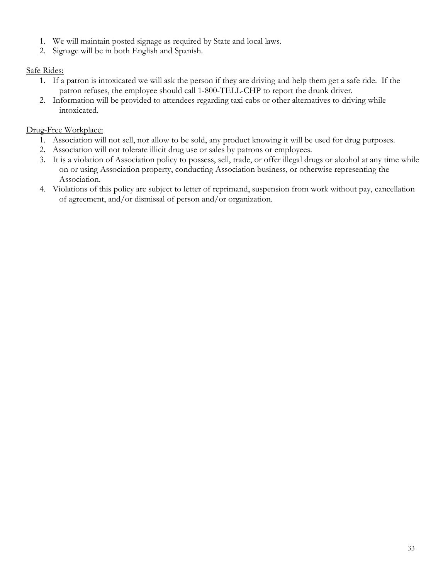- 1. We will maintain posted signage as required by State and local laws.
- 2. Signage will be in both English and Spanish.

# Safe Rides:

- 1. If a patron is intoxicated we will ask the person if they are driving and help them get a safe ride. If the patron refuses, the employee should call 1-800-TELL-CHP to report the drunk driver.
- 2. Information will be provided to attendees regarding taxi cabs or other alternatives to driving while intoxicated.

# Drug-Free Workplace:

- 1. Association will not sell, nor allow to be sold, any product knowing it will be used for drug purposes.
- 2. Association will not tolerate illicit drug use or sales by patrons or employees.
- 3. It is a violation of Association policy to possess, sell, trade, or offer illegal drugs or alcohol at any time while on or using Association property, conducting Association business, or otherwise representing the Association.
- 4. Violations of this policy are subject to letter of reprimand, suspension from work without pay, cancellation of agreement, and/or dismissal of person and/or organization.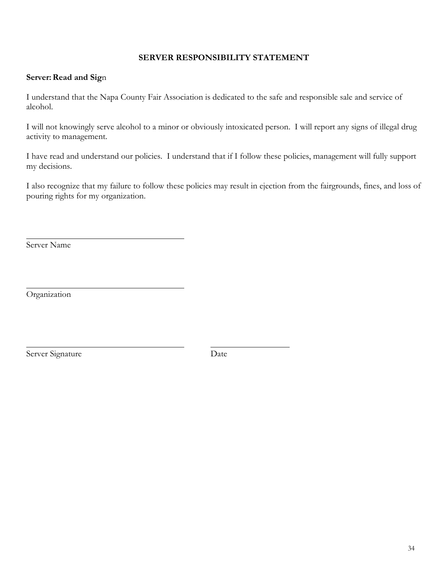#### **SERVER RESPONSIBILITY STATEMENT**

#### **Server: Read and Sign**

I understand that the Napa County Fair Association is dedicated to the safe and responsible sale and service of alcohol.

I will not knowingly serve alcohol to a minor or obviously intoxicated person. I will report any signs of illegal drug activity to management.

I have read and understand our policies. I understand that if I follow these policies, management will fully support my decisions.

I also recognize that my failure to follow these policies may result in ejection from the fairgrounds, fines, and loss of pouring rights for my organization.

Server Name

Organization

Server Signature Date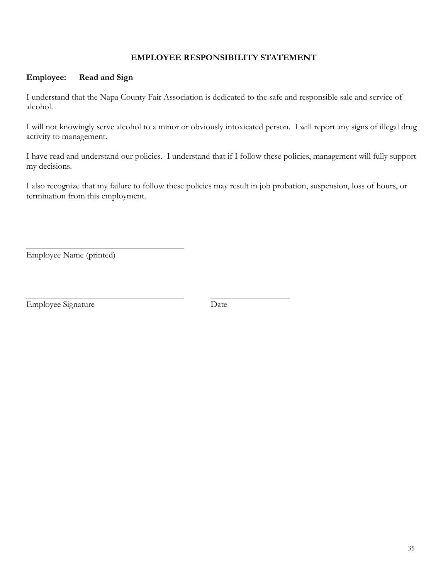#### **EMPLOYEE RESPONSIBILITY STATEMENT**

#### **Employee: Read and Sign**

I understand that the Napa County Fair Association is dedicated to the safe and responsible sale and service of alcohol.

I will not knowingly serve alcohol to a minor or obviously intoxicated person. I will report any signs of illegal drug activity to management.

I have read and understand our policies. I understand that if I follow these policies, management will fully support my decisions.

I also recognize that my failure to follow these policies may result in job probation, suspension, loss of hours, or termination from this employment.

Employee Name (printed)

Employee Signature Date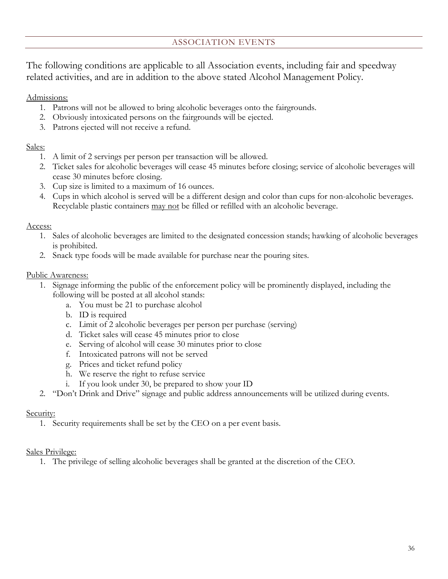## ASSOCIATION EVENTS

<span id="page-38-0"></span>The following conditions are applicable to all Association events, including fair and speedway related activities, and are in addition to the above stated Alcohol Management Policy.

Admissions:

- 1. Patrons will not be allowed to bring alcoholic beverages onto the fairgrounds.
- 2. Obviously intoxicated persons on the fairgrounds will be ejected.
- 3. Patrons ejected will not receive a refund.

#### Sales:

- 1. A limit of 2 servings per person per transaction will be allowed.
- 2. Ticket sales for alcoholic beverages will cease 45 minutes before closing; service of alcoholic beverages will cease 30 minutes before closing.
- 3. Cup size is limited to a maximum of 16 ounces.
- 4. Cups in which alcohol is served will be a different design and color than cups for non-alcoholic beverages. Recyclable plastic containers may not be filled or refilled with an alcoholic beverage.

#### Access:

- 1. Sales of alcoholic beverages are limited to the designated concession stands; hawking of alcoholic beverages is prohibited.
- 2. Snack type foods will be made available for purchase near the pouring sites.

#### Public Awareness:

- 1. Signage informing the public of the enforcement policy will be prominently displayed, including the following will be posted at all alcohol stands:
	- a. You must be 21 to purchase alcohol
	- b. ID is required
	- c. Limit of 2 alcoholic beverages per person per purchase (serving)
	- d. Ticket sales will cease 45 minutes prior to close
	- e. Serving of alcohol will cease 30 minutes prior to close
	- f. Intoxicated patrons will not be served
	- g. Prices and ticket refund policy
	- h. We reserve the right to refuse service
	- i. If you look under 30, be prepared to show your ID
- 2. "Don't Drink and Drive" signage and public address announcements will be utilized during events.

#### Security:

1. Security requirements shall be set by the CEO on a per event basis.

#### Sales Privilege:

1. The privilege of selling alcoholic beverages shall be granted at the discretion of the CEO.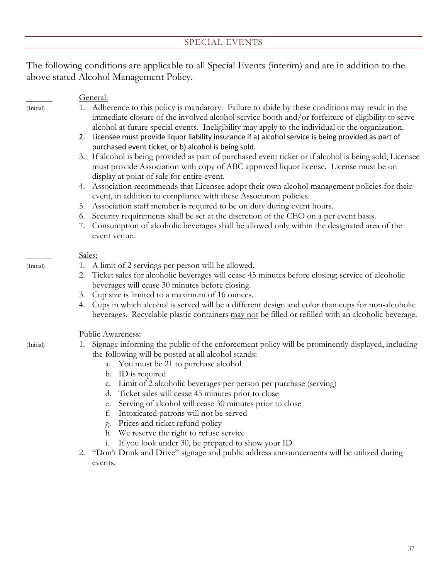#### SPECIAL EVENTS

<span id="page-39-0"></span>The following conditions are applicable to all Special Events (interim) and are in addition to the above stated Alcohol Management Policy.

#### General:

- (Initial) 1. Adherence to this policy is mandatory. Failure to abide by these conditions may result in the immediate closure of the involved alcohol service booth and/or forfeiture of eligibility to serve alcohol at future special events. Ineligibility may apply to the individual or the organization.
	- 2. Licensee must provide liquor liability insurance if a) alcohol service is being provided as part of purchased event ticket, or b) alcohol is being sold.
	- 3. If alcohol is being provided as part of purchased event ticket or if alcohol is being sold, Licensee must provide Association with copy of ABC approved liquor license. License must be on display at point of sale for entire event.
	- 4. Association recommends that Licensee adopt their own alcohol management policies for their event, in addition to compliance with these Association policies.
	- 5. Association staff member is required to be on duty during event hours.
	- 6. Security requirements shall be set at the discretion of the CEO on a per event basis.
	- 7. Consumption of alcoholic beverages shall be allowed only within the designated area of the event venue.

#### Sales:

- (Initial) 1. A limit of 2 servings per person will be allowed.
	- 2. Ticket sales for alcoholic beverages will cease 45 minutes before closing; service of alcoholic beverages will cease 30 minutes before closing.
	- 3. Cup size is limited to a maximum of 16 ounces.
	- 4. Cups in which alcohol is served will be a different design and color than cups for non-alcoholic beverages. Recyclable plastic containers may not be filled or refilled with an alcoholic beverage.

#### Public Awareness:

- (Initial) 1. Signage informing the public of the enforcement policy will be prominently displayed, including the following will be posted at all alcohol stands:
	- a. You must be 21 to purchase alcohol
	- b. ID is required
	- c. Limit of 2 alcoholic beverages per person per purchase (serving)
	- d. Ticket sales will cease 45 minutes prior to close
	- e. Serving of alcohol will cease 30 minutes prior to close
	- f. Intoxicated patrons will not be served
	- g. Prices and ticket refund policy
	- h. We reserve the right to refuse service
	- If you look under 30, be prepared to show your ID
	- 2. "Don't Drink and Drive" signage and public address announcements will be utilized during events.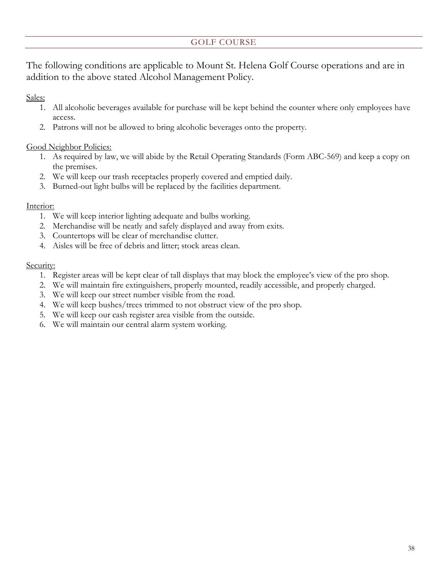# GOLF COURSE

<span id="page-40-0"></span>The following conditions are applicable to Mount St. Helena Golf Course operations and are in addition to the above stated Alcohol Management Policy.

Sales:

- 1. All alcoholic beverages available for purchase will be kept behind the counter where only employees have access.
- 2. Patrons will not be allowed to bring alcoholic beverages onto the property.

#### Good Neighbor Policies:

- 1. As required by law, we will abide by the Retail Operating Standards (Form ABC-569) and keep a copy on the premises.
- 2. We will keep our trash receptacles properly covered and emptied daily.
- 3. Burned-out light bulbs will be replaced by the facilities department.

#### Interior:

- 1. We will keep interior lighting adequate and bulbs working.
- 2. Merchandise will be neatly and safely displayed and away from exits.
- 3. Countertops will be clear of merchandise clutter.
- 4. Aisles will be free of debris and litter; stock areas clean.

#### Security:

- 1. Register areas will be kept clear of tall displays that may block the employee's view of the pro shop.
- 2. We will maintain fire extinguishers, properly mounted, readily accessible, and properly charged.
- 3. We will keep our street number visible from the road.
- 4. We will keep bushes/trees trimmed to not obstruct view of the pro shop.
- 5. We will keep our cash register area visible from the outside.
- 6. We will maintain our central alarm system working.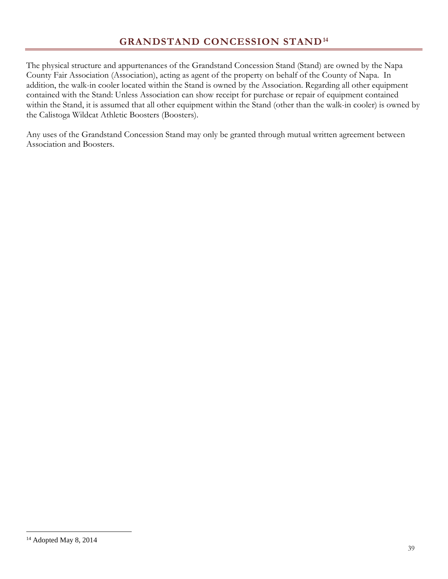<span id="page-41-0"></span>The physical structure and appurtenances of the Grandstand Concession Stand (Stand) are owned by the Napa County Fair Association (Association), acting as agent of the property on behalf of the County of Napa. In addition, the walk-in cooler located within the Stand is owned by the Association. Regarding all other equipment contained with the Stand: Unless Association can show receipt for purchase or repair of equipment contained within the Stand, it is assumed that all other equipment within the Stand (other than the walk-in cooler) is owned by the Calistoga Wildcat Athletic Boosters (Boosters).

Any uses of the Grandstand Concession Stand may only be granted through mutual written agreement between Association and Boosters.

 $\overline{a}$ 

<span id="page-41-1"></span><sup>&</sup>lt;sup>14</sup> Adopted May 8, 2014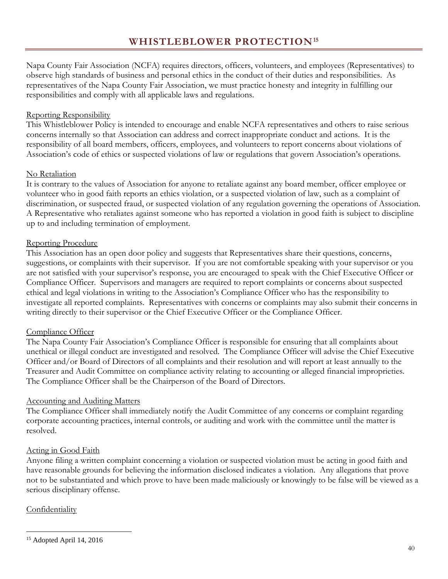<span id="page-42-0"></span>Napa County Fair Association (NCFA) requires directors, officers, volunteers, and employees (Representatives) to observe high standards of business and personal ethics in the conduct of their duties and responsibilities. As representatives of the Napa County Fair Association, we must practice honesty and integrity in fulfilling our responsibilities and comply with all applicable laws and regulations.

## Reporting Responsibility

This Whistleblower Policy is intended to encourage and enable NCFA representatives and others to raise serious concerns internally so that Association can address and correct inappropriate conduct and actions. It is the responsibility of all board members, officers, employees, and volunteers to report concerns about violations of Association's code of ethics or suspected violations of law or regulations that govern Association's operations.

## No Retaliation

It is contrary to the values of Association for anyone to retaliate against any board member, officer employee or volunteer who in good faith reports an ethics violation, or a suspected violation of law, such as a complaint of discrimination, or suspected fraud, or suspected violation of any regulation governing the operations of Association. A Representative who retaliates against someone who has reported a violation in good faith is subject to discipline up to and including termination of employment.

# Reporting Procedure

This Association has an open door policy and suggests that Representatives share their questions, concerns, suggestions, or complaints with their supervisor. If you are not comfortable speaking with your supervisor or you are not satisfied with your supervisor's response, you are encouraged to speak with the Chief Executive Officer or Compliance Officer. Supervisors and managers are required to report complaints or concerns about suspected ethical and legal violations in writing to the Association's Compliance Officer who has the responsibility to investigate all reported complaints. Representatives with concerns or complaints may also submit their concerns in writing directly to their supervisor or the Chief Executive Officer or the Compliance Officer.

# Compliance Officer

The Napa County Fair Association's Compliance Officer is responsible for ensuring that all complaints about unethical or illegal conduct are investigated and resolved. The Compliance Officer will advise the Chief Executive Officer and/or Board of Directors of all complaints and their resolution and will report at least annually to the Treasurer and Audit Committee on compliance activity relating to accounting or alleged financial improprieties. The Compliance Officer shall be the Chairperson of the Board of Directors.

# **Accounting and Auditing Matters**

The Compliance Officer shall immediately notify the Audit Committee of any concerns or complaint regarding corporate accounting practices, internal controls, or auditing and work with the committee until the matter is resolved.

# Acting in Good Faith

Anyone filing a written complaint concerning a violation or suspected violation must be acting in good faith and have reasonable grounds for believing the information disclosed indicates a violation. Any allegations that prove not to be substantiated and which prove to have been made maliciously or knowingly to be false will be viewed as a serious disciplinary offense.

# **Confidentiality**

<span id="page-42-1"></span> $\overline{a}$ <sup>15</sup> Adopted April 14, 2016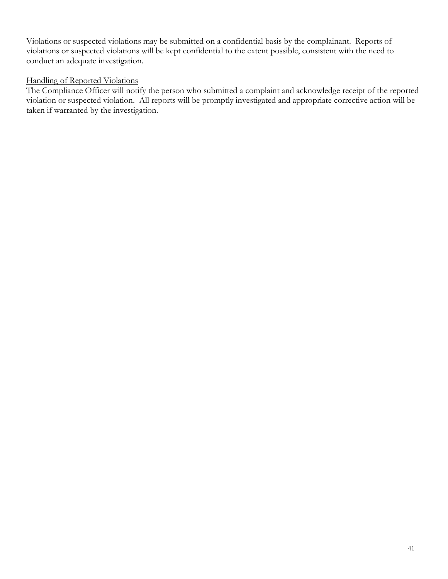Violations or suspected violations may be submitted on a confidential basis by the complainant. Reports of violations or suspected violations will be kept confidential to the extent possible, consistent with the need to conduct an adequate investigation.

#### Handling of Reported Violations

The Compliance Officer will notify the person who submitted a complaint and acknowledge receipt of the reported violation or suspected violation. All reports will be promptly investigated and appropriate corrective action will be taken if warranted by the investigation.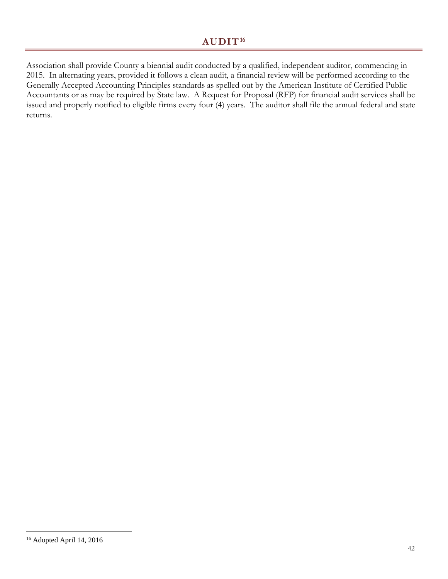# **AUDIT[16](#page-44-1)**

<span id="page-44-0"></span>Association shall provide County a biennial audit conducted by a qualified, independent auditor, commencing in 2015. In alternating years, provided it follows a clean audit, a financial review will be performed according to the Generally Accepted Accounting Principles standards as spelled out by the American Institute of Certified Public Accountants or as may be required by State law. A Request for Proposal (RFP) for financial audit services shall be issued and properly notified to eligible firms every four (4) years. The auditor shall file the annual federal and state returns.

<span id="page-44-1"></span> $\overline{a}$ <sup>16</sup> Adopted April 14, 2016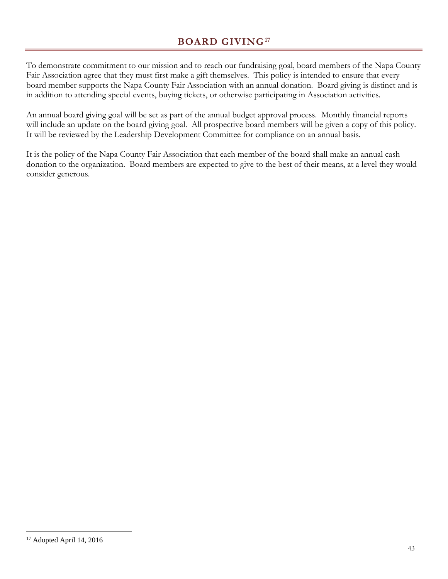# **BOARD GIVING[17](#page-45-1)**

<span id="page-45-0"></span>To demonstrate commitment to our mission and to reach our fundraising goal, board members of the Napa County Fair Association agree that they must first make a gift themselves. This policy is intended to ensure that every board member supports the Napa County Fair Association with an annual donation. Board giving is distinct and is in addition to attending special events, buying tickets, or otherwise participating in Association activities.

An annual board giving goal will be set as part of the annual budget approval process. Monthly financial reports will include an update on the board giving goal. All prospective board members will be given a copy of this policy. It will be reviewed by the Leadership Development Committee for compliance on an annual basis.

It is the policy of the Napa County Fair Association that each member of the board shall make an annual cash donation to the organization. Board members are expected to give to the best of their means, at a level they would consider generous.

<span id="page-45-1"></span> $\overline{a}$ <sup>17</sup> Adopted April 14, 2016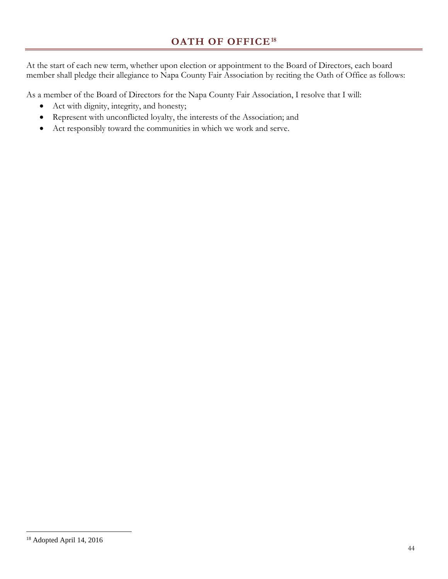<span id="page-46-0"></span>At the start of each new term, whether upon election or appointment to the Board of Directors, each board member shall pledge their allegiance to Napa County Fair Association by reciting the Oath of Office as follows:

As a member of the Board of Directors for the Napa County Fair Association, I resolve that I will:

- Act with dignity, integrity, and honesty;
- Represent with unconflicted loyalty, the interests of the Association; and
- Act responsibly toward the communities in which we work and serve.

<span id="page-46-1"></span> $\overline{a}$ <sup>18</sup> Adopted April 14, 2016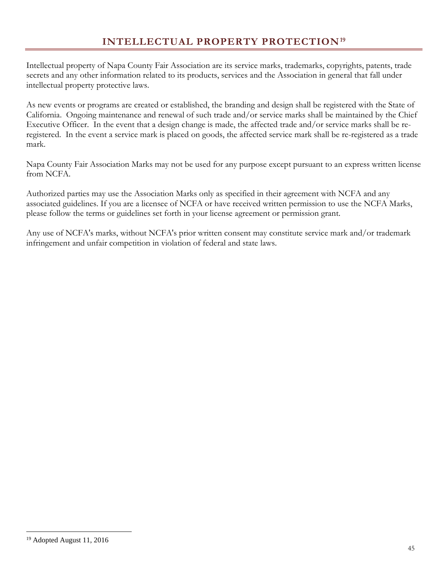<span id="page-47-0"></span>Intellectual property of Napa County Fair Association are its service marks, trademarks, copyrights, patents, trade secrets and any other information related to its products, services and the Association in general that fall under intellectual property protective laws.

As new events or programs are created or established, the branding and design shall be registered with the State of California. Ongoing maintenance and renewal of such trade and/or service marks shall be maintained by the Chief Executive Officer. In the event that a design change is made, the affected trade and/or service marks shall be reregistered. In the event a service mark is placed on goods, the affected service mark shall be re-registered as a trade mark.

Napa County Fair Association Marks may not be used for any purpose except pursuant to an express written license from NCFA.

Authorized parties may use the Association Marks only as specified in their agreement with NCFA and any associated guidelines. If you are a licensee of NCFA or have received written permission to use the NCFA Marks, please follow the terms or guidelines set forth in your license agreement or permission grant.

Any use of NCFA's marks, without NCFA's prior written consent may constitute service mark and/or trademark infringement and unfair competition in violation of federal and state laws.

<span id="page-47-1"></span> $\overline{a}$ <sup>19</sup> Adopted August 11, 2016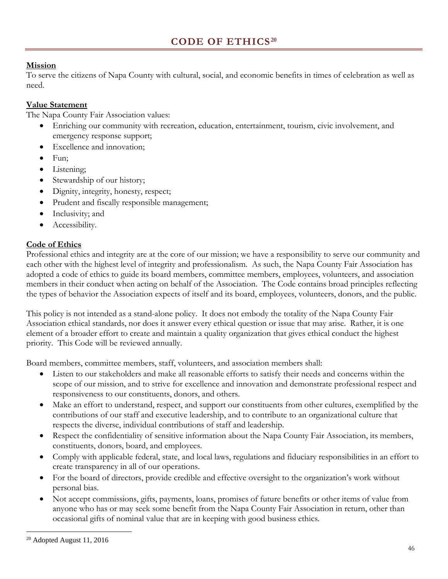## <span id="page-48-0"></span>**Mission**

To serve the citizens of Napa County with cultural, social, and economic benefits in times of celebration as well as need.

## **Value Statement**

The Napa County Fair Association values:

- Enriching our community with recreation, education, entertainment, tourism, civic involvement, and emergency response support;
- Excellence and innovation;
- Fun;
- Listening;
- Stewardship of our history;
- Dignity, integrity, honesty, respect;
- Prudent and fiscally responsible management;
- Inclusivity; and
- Accessibility.

# **Code of Ethics**

Professional ethics and integrity are at the core of our mission; we have a responsibility to serve our community and each other with the highest level of integrity and professionalism. As such, the Napa County Fair Association has adopted a code of ethics to guide its board members, committee members, employees, volunteers, and association members in their conduct when acting on behalf of the Association. The Code contains broad principles reflecting the types of behavior the Association expects of itself and its board, employees, volunteers, donors, and the public.

This policy is not intended as a stand-alone policy. It does not embody the totality of the Napa County Fair Association ethical standards, nor does it answer every ethical question or issue that may arise. Rather, it is one element of a broader effort to create and maintain a quality organization that gives ethical conduct the highest priority. This Code will be reviewed annually.

Board members, committee members, staff, volunteers, and association members shall:

- Listen to our stakeholders and make all reasonable efforts to satisfy their needs and concerns within the scope of our mission, and to strive for excellence and innovation and demonstrate professional respect and responsiveness to our constituents, donors, and others.
- Make an effort to understand, respect, and support our constituents from other cultures, exemplified by the contributions of our staff and executive leadership, and to contribute to an organizational culture that respects the diverse, individual contributions of staff and leadership.
- Respect the confidentiality of sensitive information about the Napa County Fair Association, its members, constituents, donors, board, and employees.
- Comply with applicable federal, state, and local laws, regulations and fiduciary responsibilities in an effort to create transparency in all of our operations.
- For the board of directors, provide credible and effective oversight to the organization's work without personal bias.
- Not accept commissions, gifts, payments, loans, promises of future benefits or other items of value from anyone who has or may seek some benefit from the Napa County Fair Association in return, other than occasional gifts of nominal value that are in keeping with good business ethics.

 $\overline{a}$ 

<span id="page-48-1"></span><sup>20</sup> Adopted August 11, 2016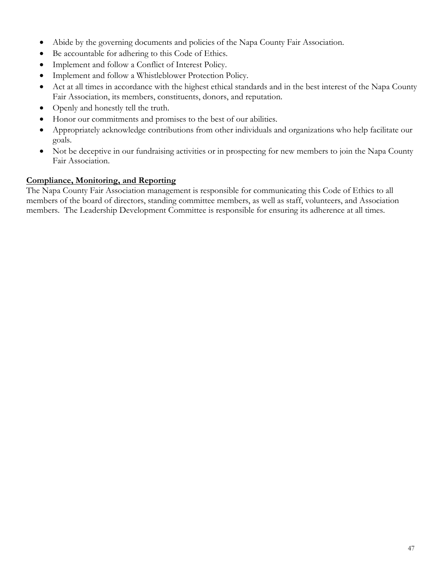- Abide by the governing documents and policies of the Napa County Fair Association.
- Be accountable for adhering to this Code of Ethics.
- Implement and follow a Conflict of Interest Policy.
- Implement and follow a Whistleblower Protection Policy.
- Act at all times in accordance with the highest ethical standards and in the best interest of the Napa County Fair Association, its members, constituents, donors, and reputation.
- Openly and honestly tell the truth.
- Honor our commitments and promises to the best of our abilities.
- Appropriately acknowledge contributions from other individuals and organizations who help facilitate our goals.
- Not be deceptive in our fundraising activities or in prospecting for new members to join the Napa County Fair Association.

## **Compliance, Monitoring, and Reporting**

The Napa County Fair Association management is responsible for communicating this Code of Ethics to all members of the board of directors, standing committee members, as well as staff, volunteers, and Association members. The Leadership Development Committee is responsible for ensuring its adherence at all times.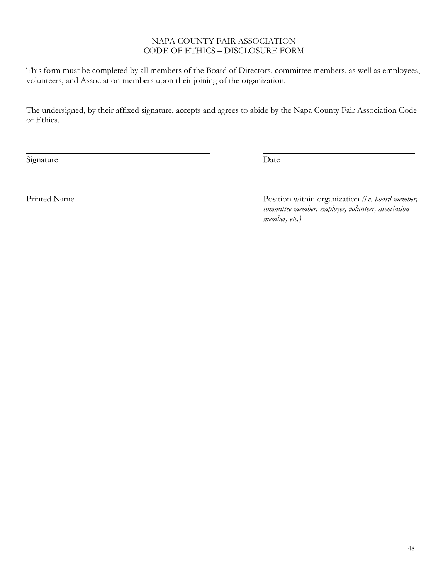#### NAPA COUNTY FAIR ASSOCIATION CODE OF ETHICS – DISCLOSURE FORM

This form must be completed by all members of the Board of Directors, committee members, as well as employees, volunteers, and Association members upon their joining of the organization.

The undersigned, by their affixed signature, accepts and agrees to abide by the Napa County Fair Association Code of Ethics.

Signature Date

Printed Name Position within organization *(i.e. board member, Position within organization <i>(i.e. board member, committee member, employee, volunteer, association member, etc.)*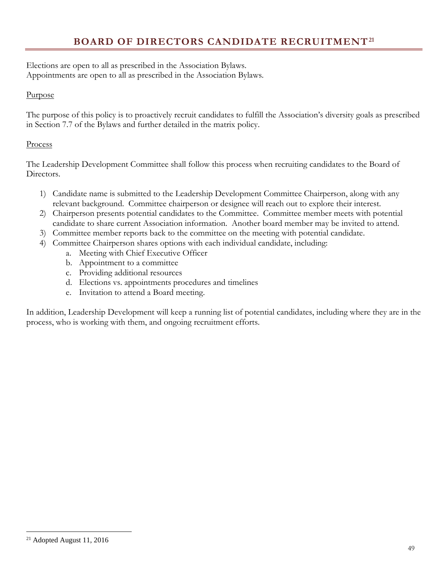# **BOARD OF DIRECTORS CANDIDATE RECRUITMENT[21](#page-51-1)**

<span id="page-51-0"></span>Elections are open to all as prescribed in the Association Bylaws. Appointments are open to all as prescribed in the Association Bylaws.

#### Purpose

The purpose of this policy is to proactively recruit candidates to fulfill the Association's diversity goals as prescribed in Section 7.7 of the Bylaws and further detailed in the matrix policy.

#### Process

The Leadership Development Committee shall follow this process when recruiting candidates to the Board of Directors.

- 1) Candidate name is submitted to the Leadership Development Committee Chairperson, along with any relevant background. Committee chairperson or designee will reach out to explore their interest.
- 2) Chairperson presents potential candidates to the Committee. Committee member meets with potential candidate to share current Association information. Another board member may be invited to attend.
- 3) Committee member reports back to the committee on the meeting with potential candidate.
- 4) Committee Chairperson shares options with each individual candidate, including:
	- a. Meeting with Chief Executive Officer
	- b. Appointment to a committee
	- c. Providing additional resources
	- d. Elections vs. appointments procedures and timelines
	- e. Invitation to attend a Board meeting.

In addition, Leadership Development will keep a running list of potential candidates, including where they are in the process, who is working with them, and ongoing recruitment efforts.

 $\overline{a}$ 

<span id="page-51-1"></span><sup>21</sup> Adopted August 11, 2016